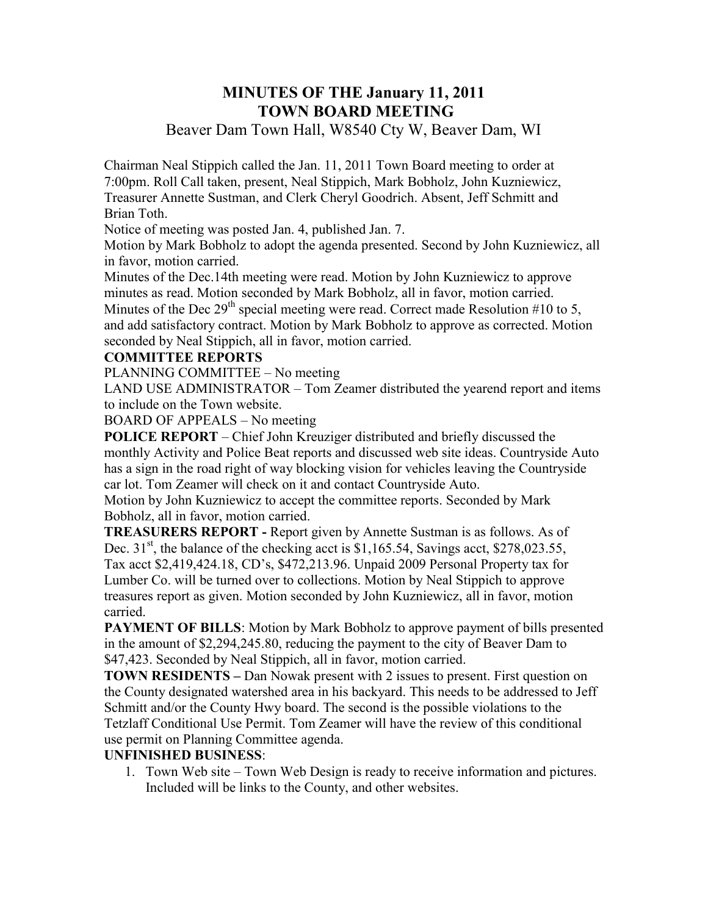## **MINUTES OF THE January 11, 2011 TOWN BOARD MEETING**

## Beaver Dam Town Hall, W8540 Cty W, Beaver Dam, WI

Chairman Neal Stippich called the Jan. 11, 2011 Town Board meeting to order at 7:00pm. Roll Call taken, present, Neal Stippich, Mark Bobholz, John Kuzniewicz, Treasurer Annette Sustman, and Clerk Cheryl Goodrich. Absent, Jeff Schmitt and Brian Toth.

Notice of meeting was posted Jan. 4, published Jan. 7.

Motion by Mark Bobholz to adopt the agenda presented. Second by John Kuzniewicz, all in favor, motion carried.

Minutes of the Dec.14th meeting were read. Motion by John Kuzniewicz to approve minutes as read. Motion seconded by Mark Bobholz, all in favor, motion carried. Minutes of the Dec 29<sup>th</sup> special meeting were read. Correct made Resolution #10 to 5, and add satisfactory contract. Motion by Mark Bobholz to approve as corrected. Motion seconded by Neal Stippich, all in favor, motion carried.

#### **COMMITTEE REPORTS**

PLANNING COMMITTEE – No meeting

LAND USE ADMINISTRATOR – Tom Zeamer distributed the yearend report and items to include on the Town website.

BOARD OF APPEALS – No meeting

**POLICE REPORT** – Chief John Kreuziger distributed and briefly discussed the monthly Activity and Police Beat reports and discussed web site ideas. Countryside Auto has a sign in the road right of way blocking vision for vehicles leaving the Countryside car lot. Tom Zeamer will check on it and contact Countryside Auto.

Motion by John Kuzniewicz to accept the committee reports. Seconded by Mark Bobholz, all in favor, motion carried.

**TREASURERS REPORT -** Report given by Annette Sustman is as follows. As of Dec. 31<sup>st</sup>, the balance of the checking acct is \$1,165.54, Savings acct, \$278,023.55, Tax acct \$2,419,424.18, CD's, \$472,213.96. Unpaid 2009 Personal Property tax for Lumber Co. will be turned over to collections. Motion by Neal Stippich to approve treasures report as given. Motion seconded by John Kuzniewicz, all in favor, motion carried.

**PAYMENT OF BILLS:** Motion by Mark Bobholz to approve payment of bills presented in the amount of \$2,294,245.80, reducing the payment to the city of Beaver Dam to \$47,423. Seconded by Neal Stippich, all in favor, motion carried.

**TOWN RESIDENTS** – Dan Nowak present with 2 issues to present. First question on the County designated watershed area in his backyard. This needs to be addressed to Jeff Schmitt and/or the County Hwy board. The second is the possible violations to the Tetzlaff Conditional Use Permit. Tom Zeamer will have the review of this conditional use permit on Planning Committee agenda.

#### **UNFINISHED BUSINESS**:

1. Town Web site – Town Web Design is ready to receive information and pictures. Included will be links to the County, and other websites.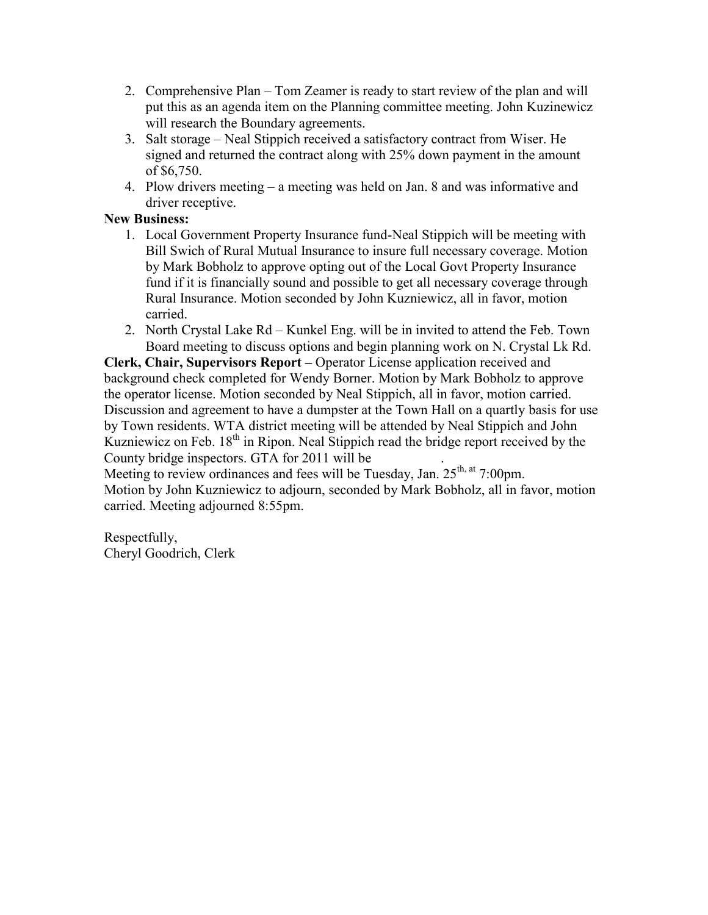- 2. Comprehensive Plan Tom Zeamer is ready to start review of the plan and will put this as an agenda item on the Planning committee meeting. John Kuzinewicz will research the Boundary agreements.
- 3. Salt storage Neal Stippich received a satisfactory contract from Wiser. He signed and returned the contract along with 25% down payment in the amount of \$6,750.
- 4. Plow drivers meeting a meeting was held on Jan. 8 and was informative and driver receptive.

#### **New Business:**

- 1. Local Government Property Insurance fund-Neal Stippich will be meeting with Bill Swich of Rural Mutual Insurance to insure full necessary coverage. Motion by Mark Bobholz to approve opting out of the Local Govt Property Insurance fund if it is financially sound and possible to get all necessary coverage through Rural Insurance. Motion seconded by John Kuzniewicz, all in favor, motion carried.
- 2. North Crystal Lake Rd Kunkel Eng. will be in invited to attend the Feb. Town Board meeting to discuss options and begin planning work on N. Crystal Lk Rd.

**Clerk, Chair, Supervisors Report –** Operator License application received and background check completed for Wendy Borner. Motion by Mark Bobholz to approve the operator license. Motion seconded by Neal Stippich, all in favor, motion carried. Discussion and agreement to have a dumpster at the Town Hall on a quartly basis for use by Town residents. WTA district meeting will be attended by Neal Stippich and John Kuzniewicz on Feb.  $18<sup>th</sup>$  in Ripon. Neal Stippich read the bridge report received by the County bridge inspectors. GTA for 2011 will be .

Meeting to review ordinances and fees will be Tuesday, Jan. 25<sup>th, at</sup> 7:00pm. Motion by John Kuzniewicz to adjourn, seconded by Mark Bobholz, all in favor, motion carried. Meeting adjourned 8:55pm.

Respectfully, Cheryl Goodrich, Clerk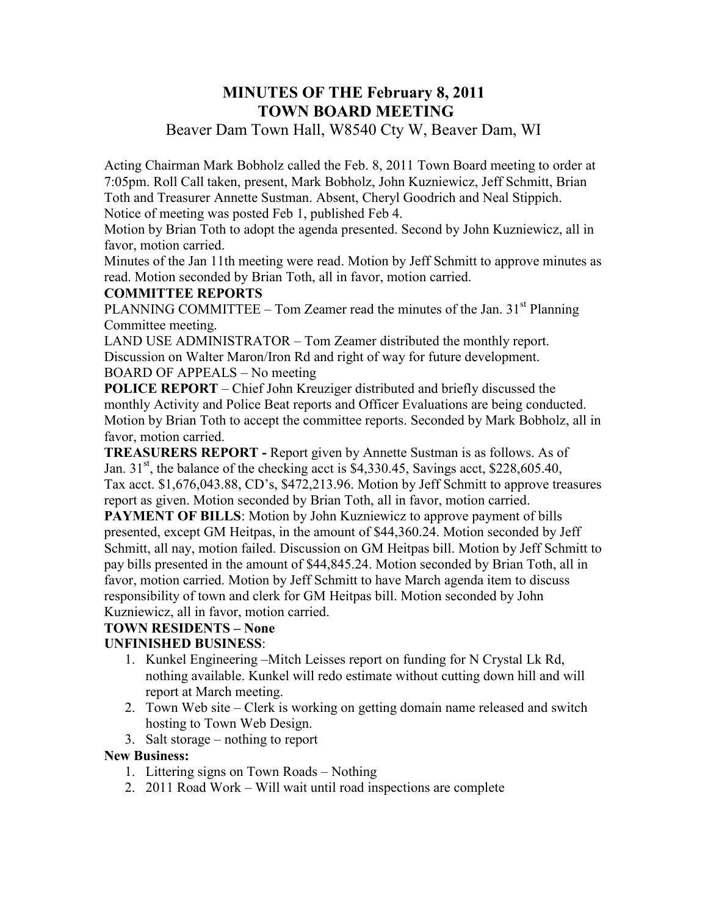## **MINUTES OF THE February 8, 2011 TOWN BOARD MEETING**

## Beaver Dam Town Hall, W8540 Cty W, Beaver Dam, WI

Acting Chairman Mark Bobholz called the Feb. 8, 2011 Town Board meeting to order at 7:05pm. Roll Call taken, present, Mark Bobholz, John Kuzniewicz, Jeff Schmitt, Brian Toth and Treasurer Annette Sustman. Absent, Cheryl Goodrich and Neal Stippich. Notice of meeting was posted Feb 1, published Feb 4.

Motion by Brian Toth to adopt the agenda presented. Second by John Kuzniewicz, all in favor, motion carried.

Minutes of the Jan 11th meeting were read. Motion by Jeff Schmitt to approve minutes as read. Motion seconded by Brian Toth, all in favor, motion carried.

#### **COMMITTEE REPORTS**

PLANNING COMMITTEE – Tom Zeamer read the minutes of the Jan.  $31<sup>st</sup>$  Planning Committee meeting.

LAND USE ADMINISTRATOR – Tom Zeamer distributed the monthly report. Discussion on Walter Maron/Iron Rd and right of way for future development. BOARD OF APPEALS – No meeting

**POLICE REPORT** – Chief John Kreuziger distributed and briefly discussed the monthly Activity and Police Beat reports and Officer Evaluations are being conducted. Motion by Brian Toth to accept the committee reports. Seconded by Mark Bobholz, all in favor, motion carried.

**TREASURERS REPORT -** Report given by Annette Sustman is as follows. As of Jan. 31<sup>st</sup>, the balance of the checking acct is \$4,330.45, Savings acct, \$228,605.40, Tax acct. \$1,676,043.88, CD's, \$472,213.96. Motion by Jeff Schmitt to approve treasures report as given. Motion seconded by Brian Toth, all in favor, motion carried.

**PAYMENT OF BILLS:** Motion by John Kuzniewicz to approve payment of bills presented, except GM Heitpas, in the amount of \$44,360.24. Motion seconded by Jeff Schmitt, all nay, motion failed. Discussion on GM Heitpas bill. Motion by Jeff Schmitt to pay bills presented in the amount of \$44,845.24. Motion seconded by Brian Toth, all in favor, motion carried. Motion by Jeff Schmitt to have March agenda item to discuss responsibility of town and clerk for GM Heitpas bill. Motion seconded by John Kuzniewicz, all in favor, motion carried.

## **TOWN RESIDENTS – None**

## **UNFINISHED BUSINESS**:

- 1. Kunkel Engineering –Mitch Leisses report on funding for N Crystal Lk Rd, nothing available. Kunkel will redo estimate without cutting down hill and will report at March meeting.
- 2. Town Web site Clerk is working on getting domain name released and switch hosting to Town Web Design.
- 3. Salt storage nothing to report

#### **New Business:**

- 1. Littering signs on Town Roads Nothing
- 2. 2011 Road Work Will wait until road inspections are complete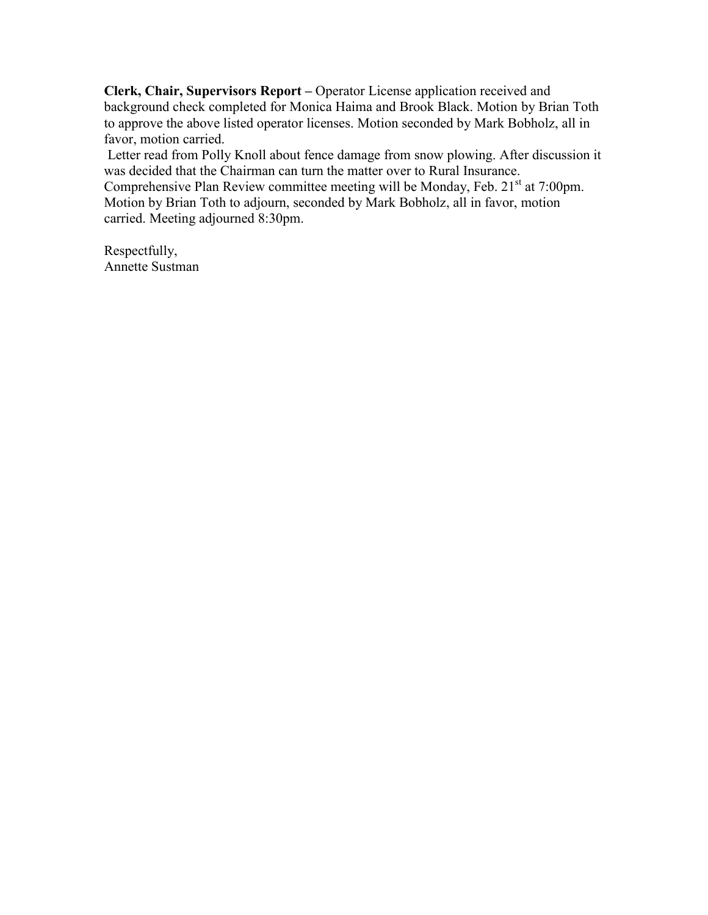**Clerk, Chair, Supervisors Report –** Operator License application received and background check completed for Monica Haima and Brook Black. Motion by Brian Toth to approve the above listed operator licenses. Motion seconded by Mark Bobholz, all in favor, motion carried.

 Letter read from Polly Knoll about fence damage from snow plowing. After discussion it was decided that the Chairman can turn the matter over to Rural Insurance. Comprehensive Plan Review committee meeting will be Monday, Feb.  $21<sup>st</sup>$  at 7:00pm. Motion by Brian Toth to adjourn, seconded by Mark Bobholz, all in favor, motion carried. Meeting adjourned 8:30pm.

Respectfully, Annette Sustman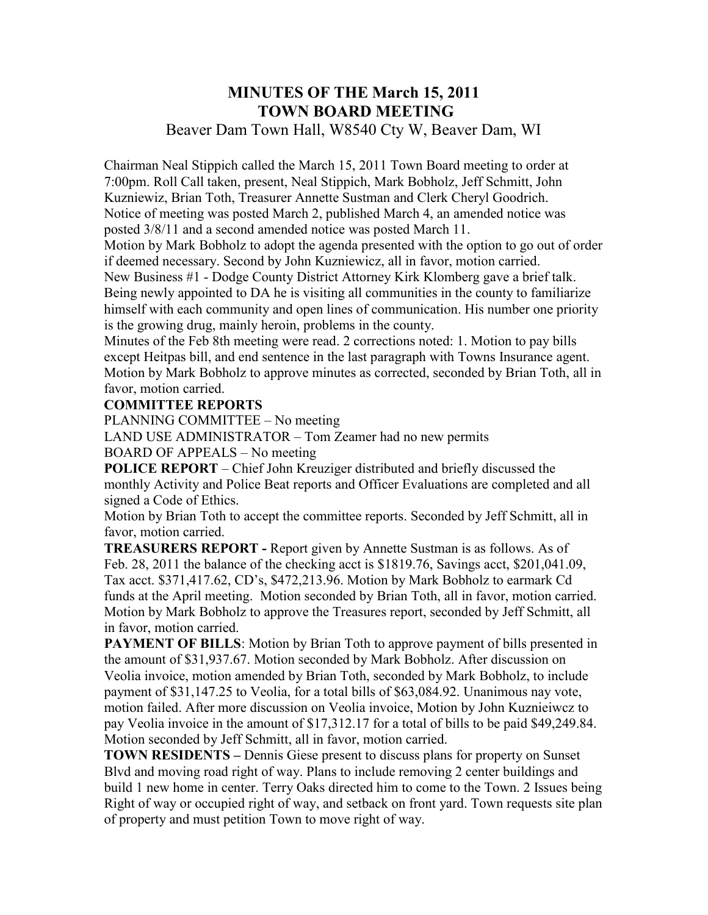# **MINUTES OF THE March 15, 2011 TOWN BOARD MEETING**

## Beaver Dam Town Hall, W8540 Cty W, Beaver Dam, WI

Chairman Neal Stippich called the March 15, 2011 Town Board meeting to order at 7:00pm. Roll Call taken, present, Neal Stippich, Mark Bobholz, Jeff Schmitt, John Kuzniewiz, Brian Toth, Treasurer Annette Sustman and Clerk Cheryl Goodrich. Notice of meeting was posted March 2, published March 4, an amended notice was posted 3/8/11 and a second amended notice was posted March 11.

Motion by Mark Bobholz to adopt the agenda presented with the option to go out of order if deemed necessary. Second by John Kuzniewicz, all in favor, motion carried.

New Business #1 - Dodge County District Attorney Kirk Klomberg gave a brief talk. Being newly appointed to DA he is visiting all communities in the county to familiarize himself with each community and open lines of communication. His number one priority is the growing drug, mainly heroin, problems in the county.

Minutes of the Feb 8th meeting were read. 2 corrections noted: 1. Motion to pay bills except Heitpas bill, and end sentence in the last paragraph with Towns Insurance agent. Motion by Mark Bobholz to approve minutes as corrected, seconded by Brian Toth, all in favor, motion carried.

#### **COMMITTEE REPORTS**

PLANNING COMMITTEE – No meeting

LAND USE ADMINISTRATOR – Tom Zeamer had no new permits

BOARD OF APPEALS – No meeting

**POLICE REPORT** – Chief John Kreuziger distributed and briefly discussed the monthly Activity and Police Beat reports and Officer Evaluations are completed and all signed a Code of Ethics.

Motion by Brian Toth to accept the committee reports. Seconded by Jeff Schmitt, all in favor, motion carried.

**TREASURERS REPORT -** Report given by Annette Sustman is as follows. As of Feb. 28, 2011 the balance of the checking acct is \$1819.76, Savings acct, \$201,041.09, Tax acct. \$371,417.62, CD's, \$472,213.96. Motion by Mark Bobholz to earmark Cd funds at the April meeting. Motion seconded by Brian Toth, all in favor, motion carried. Motion by Mark Bobholz to approve the Treasures report, seconded by Jeff Schmitt, all in favor, motion carried.

**PAYMENT OF BILLS:** Motion by Brian Toth to approve payment of bills presented in the amount of \$31,937.67. Motion seconded by Mark Bobholz. After discussion on Veolia invoice, motion amended by Brian Toth, seconded by Mark Bobholz, to include payment of \$31,147.25 to Veolia, for a total bills of \$63,084.92. Unanimous nay vote, motion failed. After more discussion on Veolia invoice, Motion by John Kuznieiwcz to pay Veolia invoice in the amount of \$17,312.17 for a total of bills to be paid \$49,249.84. Motion seconded by Jeff Schmitt, all in favor, motion carried.

**TOWN RESIDENTS** – Dennis Giese present to discuss plans for property on Sunset Blvd and moving road right of way. Plans to include removing 2 center buildings and build 1 new home in center. Terry Oaks directed him to come to the Town. 2 Issues being Right of way or occupied right of way, and setback on front yard. Town requests site plan of property and must petition Town to move right of way.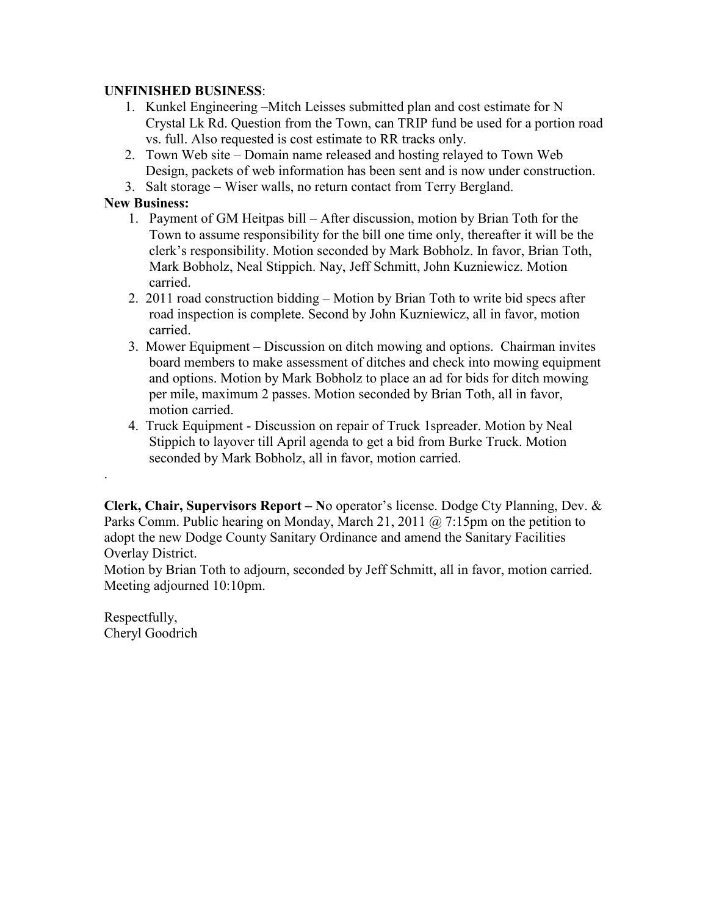#### **UNFINISHED BUSINESS**:

- 1. Kunkel Engineering –Mitch Leisses submitted plan and cost estimate for N Crystal Lk Rd. Question from the Town, can TRIP fund be used for a portion road vs. full. Also requested is cost estimate to RR tracks only.
- 2. Town Web site Domain name released and hosting relayed to Town Web Design, packets of web information has been sent and is now under construction.
- 3. Salt storage Wiser walls, no return contact from Terry Bergland.

#### **New Business:**

- 1. Payment of GM Heitpas bill After discussion, motion by Brian Toth for the Town to assume responsibility for the bill one time only, thereafter it will be the clerk's responsibility. Motion seconded by Mark Bobholz. In favor, Brian Toth, Mark Bobholz, Neal Stippich. Nay, Jeff Schmitt, John Kuzniewicz. Motion carried.
- 2. 2011 road construction bidding Motion by Brian Toth to write bid specs after road inspection is complete. Second by John Kuzniewicz, all in favor, motion carried.
- 3. Mower Equipment Discussion on ditch mowing and options. Chairman invites board members to make assessment of ditches and check into mowing equipment and options. Motion by Mark Bobholz to place an ad for bids for ditch mowing per mile, maximum 2 passes. Motion seconded by Brian Toth, all in favor, motion carried.
- 4. Truck Equipment Discussion on repair of Truck 1spreader. Motion by Neal Stippich to layover till April agenda to get a bid from Burke Truck. Motion seconded by Mark Bobholz, all in favor, motion carried.

**Clerk, Chair, Supervisors Report – N**o operator's license. Dodge Cty Planning, Dev. & Parks Comm. Public hearing on Monday, March 21, 2011 @ 7:15pm on the petition to adopt the new Dodge County Sanitary Ordinance and amend the Sanitary Facilities Overlay District.

Motion by Brian Toth to adjourn, seconded by Jeff Schmitt, all in favor, motion carried. Meeting adjourned 10:10pm.

Respectfully, Cheryl Goodrich

.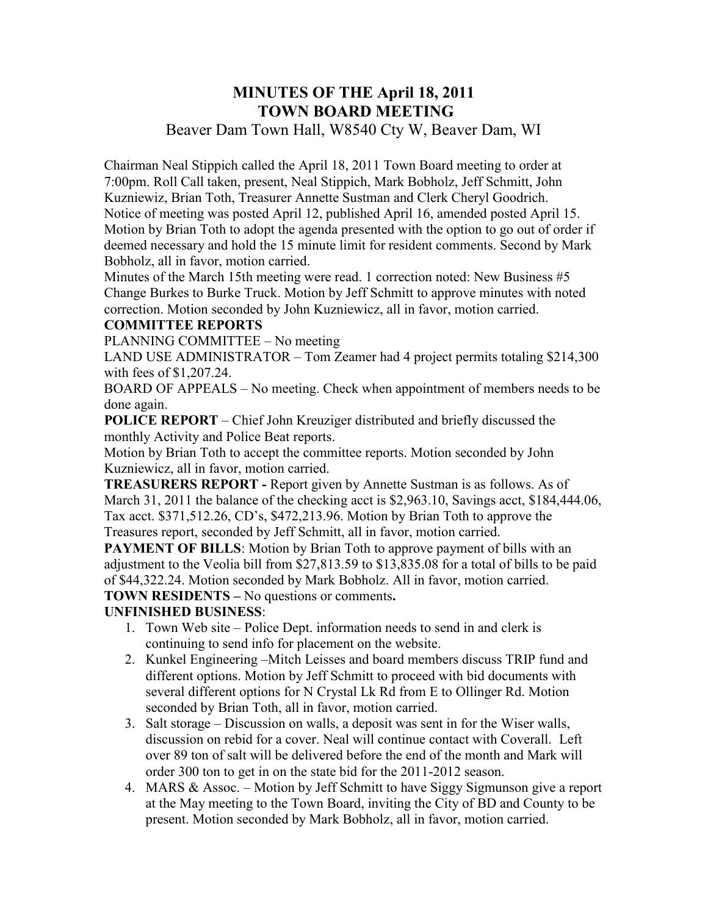## **MINUTES OF THE April 18, 2011 TOWN BOARD MEETING**  Beaver Dam Town Hall, W8540 Cty W, Beaver Dam, WI

Chairman Neal Stippich called the April 18, 2011 Town Board meeting to order at 7:00pm. Roll Call taken, present, Neal Stippich, Mark Bobholz, Jeff Schmitt, John Kuzniewiz, Brian Toth, Treasurer Annette Sustman and Clerk Cheryl Goodrich. Notice of meeting was posted April 12, published April 16, amended posted April 15. Motion by Brian Toth to adopt the agenda presented with the option to go out of order if deemed necessary and hold the 15 minute limit for resident comments. Second by Mark

Bobholz, all in favor, motion carried.

Minutes of the March 15th meeting were read. 1 correction noted: New Business #5 Change Burkes to Burke Truck. Motion by Jeff Schmitt to approve minutes with noted correction. Motion seconded by John Kuzniewicz, all in favor, motion carried.

#### **COMMITTEE REPORTS**

PLANNING COMMITTEE – No meeting

LAND USE ADMINISTRATOR – Tom Zeamer had 4 project permits totaling \$214,300 with fees of \$1,207.24.

BOARD OF APPEALS – No meeting. Check when appointment of members needs to be done again.

**POLICE REPORT** – Chief John Kreuziger distributed and briefly discussed the monthly Activity and Police Beat reports.

Motion by Brian Toth to accept the committee reports. Motion seconded by John Kuzniewicz, all in favor, motion carried.

**TREASURERS REPORT -** Report given by Annette Sustman is as follows. As of March 31, 2011 the balance of the checking acct is \$2,963.10, Savings acct, \$184,444.06, Tax acct. \$371,512.26, CD's, \$472,213.96. Motion by Brian Toth to approve the Treasures report, seconded by Jeff Schmitt, all in favor, motion carried.

**PAYMENT OF BILLS:** Motion by Brian Toth to approve payment of bills with an adjustment to the Veolia bill from \$27,813.59 to \$13,835.08 for a total of bills to be paid of \$44,322.24. Motion seconded by Mark Bobholz. All in favor, motion carried. **TOWN RESIDENTS –** No questions or comments**.**

## **UNFINISHED BUSINESS**:

- 1. Town Web site Police Dept. information needs to send in and clerk is continuing to send info for placement on the website.
- 2. Kunkel Engineering –Mitch Leisses and board members discuss TRIP fund and different options. Motion by Jeff Schmitt to proceed with bid documents with several different options for N Crystal Lk Rd from E to Ollinger Rd. Motion seconded by Brian Toth, all in favor, motion carried.
- 3. Salt storage Discussion on walls, a deposit was sent in for the Wiser walls, discussion on rebid for a cover. Neal will continue contact with Coverall. Left over 89 ton of salt will be delivered before the end of the month and Mark will order 300 ton to get in on the state bid for the 2011-2012 season.
- 4. MARS & Assoc. Motion by Jeff Schmitt to have Siggy Sigmunson give a report at the May meeting to the Town Board, inviting the City of BD and County to be present. Motion seconded by Mark Bobholz, all in favor, motion carried.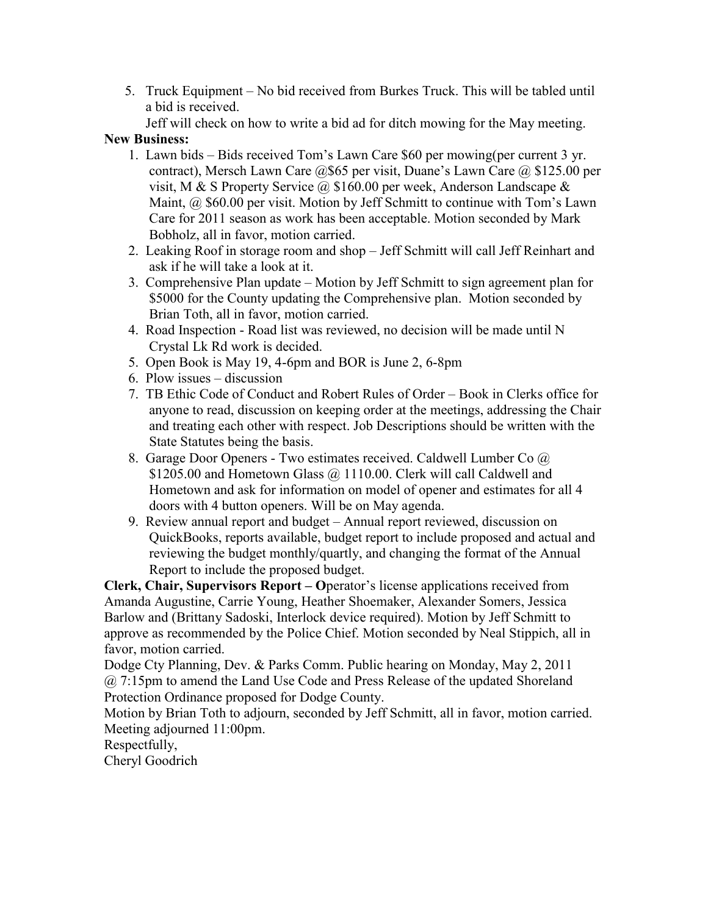5. Truck Equipment – No bid received from Burkes Truck. This will be tabled until a bid is received.

Jeff will check on how to write a bid ad for ditch mowing for the May meeting.

#### **New Business:**

- 1. Lawn bids Bids received Tom's Lawn Care \$60 per mowing(per current 3 yr. contract), Mersch Lawn Care @\$65 per visit, Duane's Lawn Care @ \$125.00 per visit, M & S Property Service  $\omega$ , \$160.00 per week, Anderson Landscape & Maint, @ \$60.00 per visit. Motion by Jeff Schmitt to continue with Tom's Lawn Care for 2011 season as work has been acceptable. Motion seconded by Mark Bobholz, all in favor, motion carried.
- 2. Leaking Roof in storage room and shop Jeff Schmitt will call Jeff Reinhart and ask if he will take a look at it.
- 3. Comprehensive Plan update Motion by Jeff Schmitt to sign agreement plan for \$5000 for the County updating the Comprehensive plan. Motion seconded by Brian Toth, all in favor, motion carried.
- 4. Road Inspection Road list was reviewed, no decision will be made until N Crystal Lk Rd work is decided.
- 5. Open Book is May 19, 4-6pm and BOR is June 2, 6-8pm
- 6. Plow issues discussion
- 7. TB Ethic Code of Conduct and Robert Rules of Order Book in Clerks office for anyone to read, discussion on keeping order at the meetings, addressing the Chair and treating each other with respect. Job Descriptions should be written with the State Statutes being the basis.
- 8. Garage Door Openers Two estimates received. Caldwell Lumber Co @ \$1205.00 and Hometown Glass @ 1110.00. Clerk will call Caldwell and Hometown and ask for information on model of opener and estimates for all 4 doors with 4 button openers. Will be on May agenda.
- 9. Review annual report and budget Annual report reviewed, discussion on QuickBooks, reports available, budget report to include proposed and actual and reviewing the budget monthly/quartly, and changing the format of the Annual Report to include the proposed budget.

**Clerk, Chair, Supervisors Report – O**perator's license applications received from Amanda Augustine, Carrie Young, Heather Shoemaker, Alexander Somers, Jessica Barlow and (Brittany Sadoski, Interlock device required). Motion by Jeff Schmitt to approve as recommended by the Police Chief. Motion seconded by Neal Stippich, all in favor, motion carried.

Dodge Cty Planning, Dev. & Parks Comm. Public hearing on Monday, May 2, 2011 @ 7:15pm to amend the Land Use Code and Press Release of the updated Shoreland Protection Ordinance proposed for Dodge County.

Motion by Brian Toth to adjourn, seconded by Jeff Schmitt, all in favor, motion carried. Meeting adjourned 11:00pm.

Respectfully,

Cheryl Goodrich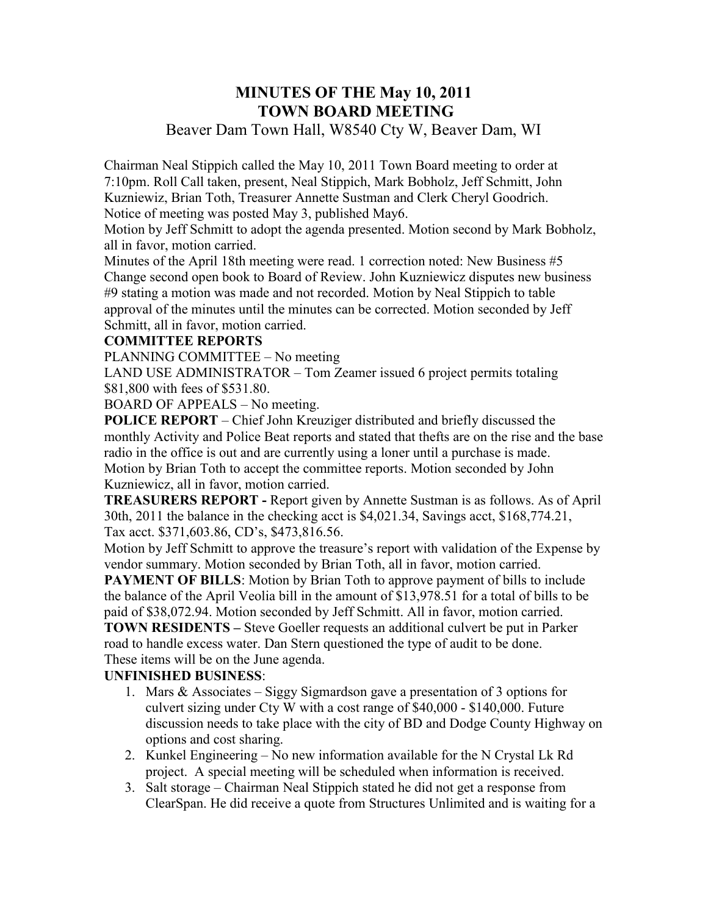## **MINUTES OF THE May 10, 2011 TOWN BOARD MEETING**

## Beaver Dam Town Hall, W8540 Cty W, Beaver Dam, WI

Chairman Neal Stippich called the May 10, 2011 Town Board meeting to order at 7:10pm. Roll Call taken, present, Neal Stippich, Mark Bobholz, Jeff Schmitt, John Kuzniewiz, Brian Toth, Treasurer Annette Sustman and Clerk Cheryl Goodrich. Notice of meeting was posted May 3, published May6.

Motion by Jeff Schmitt to adopt the agenda presented. Motion second by Mark Bobholz, all in favor, motion carried.

Minutes of the April 18th meeting were read. 1 correction noted: New Business #5 Change second open book to Board of Review. John Kuzniewicz disputes new business #9 stating a motion was made and not recorded. Motion by Neal Stippich to table approval of the minutes until the minutes can be corrected. Motion seconded by Jeff Schmitt, all in favor, motion carried.

#### **COMMITTEE REPORTS**

PLANNING COMMITTEE – No meeting

LAND USE ADMINISTRATOR – Tom Zeamer issued 6 project permits totaling \$81,800 with fees of \$531.80.

BOARD OF APPEALS – No meeting.

**POLICE REPORT** – Chief John Kreuziger distributed and briefly discussed the monthly Activity and Police Beat reports and stated that thefts are on the rise and the base radio in the office is out and are currently using a loner until a purchase is made. Motion by Brian Toth to accept the committee reports. Motion seconded by John Kuzniewicz, all in favor, motion carried.

**TREASURERS REPORT -** Report given by Annette Sustman is as follows. As of April 30th, 2011 the balance in the checking acct is \$4,021.34, Savings acct, \$168,774.21, Tax acct. \$371,603.86, CD's, \$473,816.56.

Motion by Jeff Schmitt to approve the treasure's report with validation of the Expense by vendor summary. Motion seconded by Brian Toth, all in favor, motion carried.

**PAYMENT OF BILLS:** Motion by Brian Toth to approve payment of bills to include the balance of the April Veolia bill in the amount of \$13,978.51 for a total of bills to be paid of \$38,072.94. Motion seconded by Jeff Schmitt. All in favor, motion carried. **TOWN RESIDENTS –** Steve Goeller requests an additional culvert be put in Parker

road to handle excess water. Dan Stern questioned the type of audit to be done. These items will be on the June agenda.

#### **UNFINISHED BUSINESS**:

- 1. Mars & Associates Siggy Sigmardson gave a presentation of 3 options for culvert sizing under Cty W with a cost range of \$40,000 - \$140,000. Future discussion needs to take place with the city of BD and Dodge County Highway on options and cost sharing.
- 2. Kunkel Engineering No new information available for the N Crystal Lk Rd project. A special meeting will be scheduled when information is received.
- 3. Salt storage Chairman Neal Stippich stated he did not get a response from ClearSpan. He did receive a quote from Structures Unlimited and is waiting for a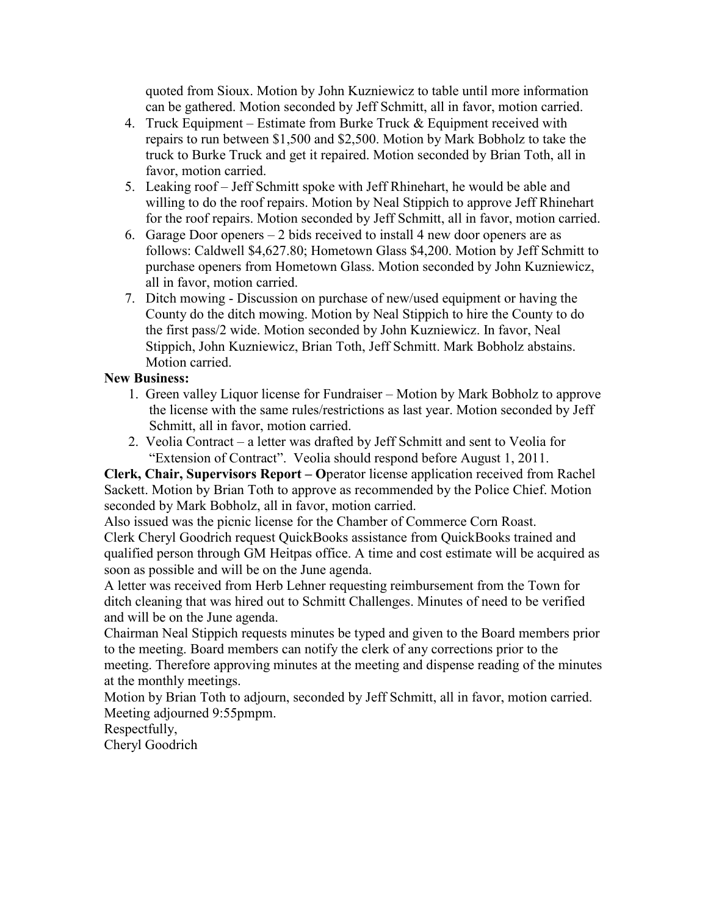quoted from Sioux. Motion by John Kuzniewicz to table until more information can be gathered. Motion seconded by Jeff Schmitt, all in favor, motion carried.

- 4. Truck Equipment Estimate from Burke Truck  $&$  Equipment received with repairs to run between \$1,500 and \$2,500. Motion by Mark Bobholz to take the truck to Burke Truck and get it repaired. Motion seconded by Brian Toth, all in favor, motion carried.
- 5. Leaking roof Jeff Schmitt spoke with Jeff Rhinehart, he would be able and willing to do the roof repairs. Motion by Neal Stippich to approve Jeff Rhinehart for the roof repairs. Motion seconded by Jeff Schmitt, all in favor, motion carried.
- 6. Garage Door openers 2 bids received to install 4 new door openers are as follows: Caldwell \$4,627.80; Hometown Glass \$4,200. Motion by Jeff Schmitt to purchase openers from Hometown Glass. Motion seconded by John Kuzniewicz, all in favor, motion carried.
- 7. Ditch mowing Discussion on purchase of new/used equipment or having the County do the ditch mowing. Motion by Neal Stippich to hire the County to do the first pass/2 wide. Motion seconded by John Kuzniewicz. In favor, Neal Stippich, John Kuzniewicz, Brian Toth, Jeff Schmitt. Mark Bobholz abstains. Motion carried.

#### **New Business:**

- 1. Green valley Liquor license for Fundraiser Motion by Mark Bobholz to approve the license with the same rules/restrictions as last year. Motion seconded by Jeff Schmitt, all in favor, motion carried.
- 2. Veolia Contract a letter was drafted by Jeff Schmitt and sent to Veolia for "Extension of Contract". Veolia should respond before August 1, 2011.

**Clerk, Chair, Supervisors Report – O**perator license application received from Rachel Sackett. Motion by Brian Toth to approve as recommended by the Police Chief. Motion seconded by Mark Bobholz, all in favor, motion carried.

Also issued was the picnic license for the Chamber of Commerce Corn Roast. Clerk Cheryl Goodrich request QuickBooks assistance from QuickBooks trained and qualified person through GM Heitpas office. A time and cost estimate will be acquired as soon as possible and will be on the June agenda.

A letter was received from Herb Lehner requesting reimbursement from the Town for ditch cleaning that was hired out to Schmitt Challenges. Minutes of need to be verified and will be on the June agenda.

Chairman Neal Stippich requests minutes be typed and given to the Board members prior to the meeting. Board members can notify the clerk of any corrections prior to the meeting. Therefore approving minutes at the meeting and dispense reading of the minutes at the monthly meetings.

Motion by Brian Toth to adjourn, seconded by Jeff Schmitt, all in favor, motion carried. Meeting adjourned 9:55pmpm.

Respectfully,

Cheryl Goodrich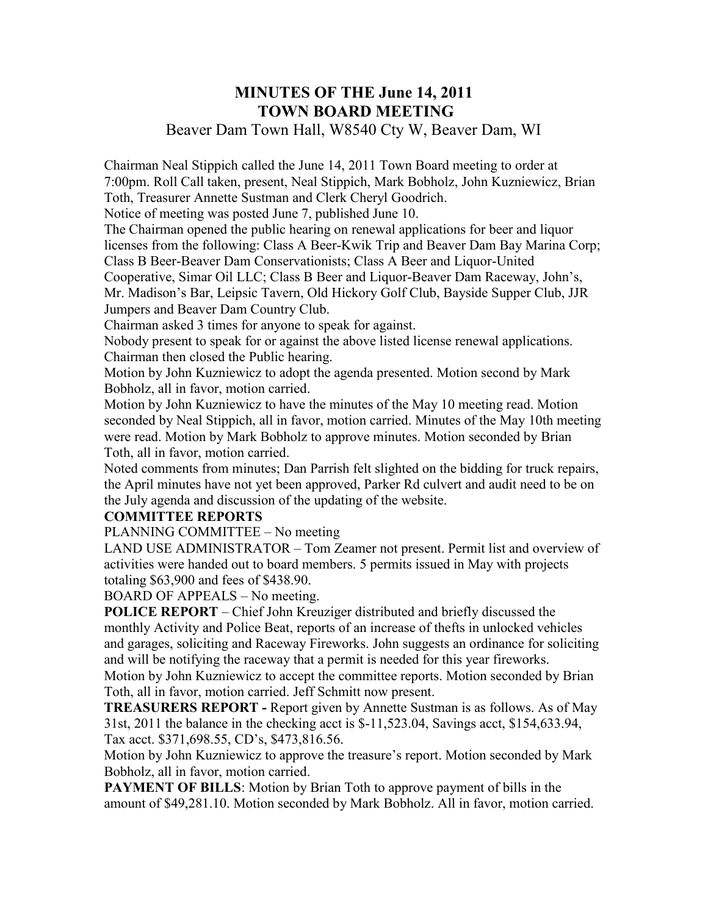## **MINUTES OF THE June 14, 2011 TOWN BOARD MEETING**

## Beaver Dam Town Hall, W8540 Cty W, Beaver Dam, WI

Chairman Neal Stippich called the June 14, 2011 Town Board meeting to order at 7:00pm. Roll Call taken, present, Neal Stippich, Mark Bobholz, John Kuzniewicz, Brian Toth, Treasurer Annette Sustman and Clerk Cheryl Goodrich.

Notice of meeting was posted June 7, published June 10.

The Chairman opened the public hearing on renewal applications for beer and liquor licenses from the following: Class A Beer-Kwik Trip and Beaver Dam Bay Marina Corp; Class B Beer-Beaver Dam Conservationists; Class A Beer and Liquor-United Cooperative, Simar Oil LLC; Class B Beer and Liquor-Beaver Dam Raceway, John's,

Mr. Madison's Bar, Leipsic Tavern, Old Hickory Golf Club, Bayside Supper Club, JJR Jumpers and Beaver Dam Country Club.

Chairman asked 3 times for anyone to speak for against.

Nobody present to speak for or against the above listed license renewal applications. Chairman then closed the Public hearing.

Motion by John Kuzniewicz to adopt the agenda presented. Motion second by Mark Bobholz, all in favor, motion carried.

Motion by John Kuzniewicz to have the minutes of the May 10 meeting read. Motion seconded by Neal Stippich, all in favor, motion carried. Minutes of the May 10th meeting were read. Motion by Mark Bobholz to approve minutes. Motion seconded by Brian Toth, all in favor, motion carried.

Noted comments from minutes; Dan Parrish felt slighted on the bidding for truck repairs, the April minutes have not yet been approved, Parker Rd culvert and audit need to be on the July agenda and discussion of the updating of the website.

#### **COMMITTEE REPORTS**

PLANNING COMMITTEE – No meeting

LAND USE ADMINISTRATOR – Tom Zeamer not present. Permit list and overview of activities were handed out to board members. 5 permits issued in May with projects totaling \$63,900 and fees of \$438.90.

BOARD OF APPEALS – No meeting.

**POLICE REPORT** – Chief John Kreuziger distributed and briefly discussed the monthly Activity and Police Beat, reports of an increase of thefts in unlocked vehicles and garages, soliciting and Raceway Fireworks. John suggests an ordinance for soliciting and will be notifying the raceway that a permit is needed for this year fireworks. Motion by John Kuzniewicz to accept the committee reports. Motion seconded by Brian

Toth, all in favor, motion carried. Jeff Schmitt now present.

**TREASURERS REPORT -** Report given by Annette Sustman is as follows. As of May 31st, 2011 the balance in the checking acct is \$-11,523.04, Savings acct, \$154,633.94, Tax acct. \$371,698.55, CD's, \$473,816.56.

Motion by John Kuzniewicz to approve the treasure's report. Motion seconded by Mark Bobholz, all in favor, motion carried.

**PAYMENT OF BILLS:** Motion by Brian Toth to approve payment of bills in the amount of \$49,281.10. Motion seconded by Mark Bobholz. All in favor, motion carried.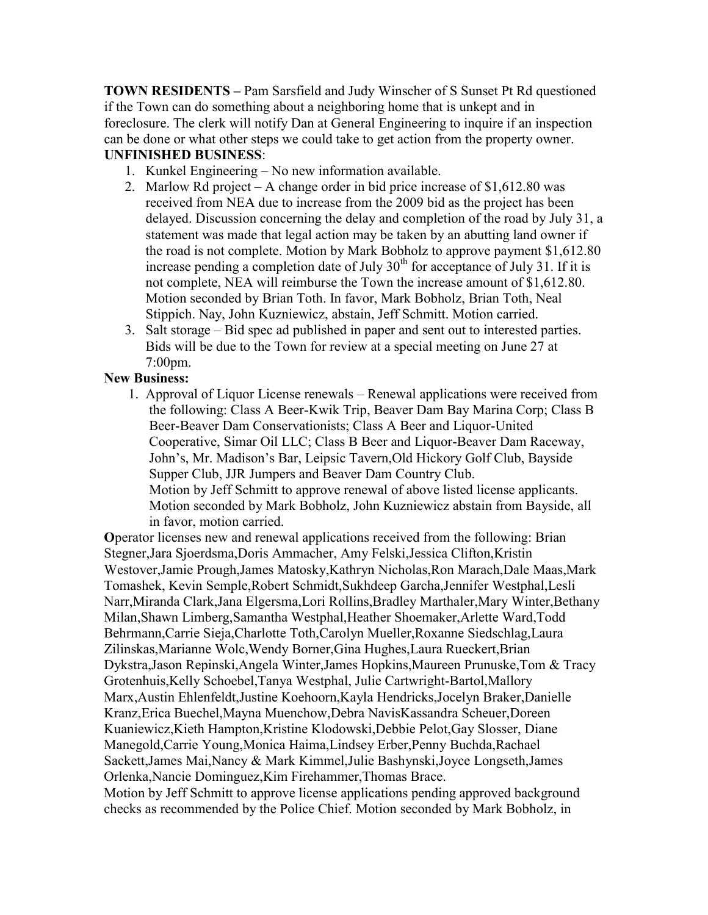**TOWN RESIDENTS –** Pam Sarsfield and Judy Winscher of S Sunset Pt Rd questioned if the Town can do something about a neighboring home that is unkept and in foreclosure. The clerk will notify Dan at General Engineering to inquire if an inspection can be done or what other steps we could take to get action from the property owner. **UNFINISHED BUSINESS**:

- 1. Kunkel Engineering No new information available.
- 2. Marlow Rd project A change order in bid price increase of \$1,612.80 was received from NEA due to increase from the 2009 bid as the project has been delayed. Discussion concerning the delay and completion of the road by July 31, a statement was made that legal action may be taken by an abutting land owner if the road is not complete. Motion by Mark Bobholz to approve payment \$1,612.80 increase pending a completion date of July  $30<sup>th</sup>$  for acceptance of July 31. If it is not complete, NEA will reimburse the Town the increase amount of \$1,612.80. Motion seconded by Brian Toth. In favor, Mark Bobholz, Brian Toth, Neal Stippich. Nay, John Kuzniewicz, abstain, Jeff Schmitt. Motion carried.
- 3. Salt storage Bid spec ad published in paper and sent out to interested parties. Bids will be due to the Town for review at a special meeting on June 27 at 7:00pm.

#### **New Business:**

1. Approval of Liquor License renewals – Renewal applications were received from the following: Class A Beer-Kwik Trip, Beaver Dam Bay Marina Corp; Class B Beer-Beaver Dam Conservationists; Class A Beer and Liquor-United Cooperative, Simar Oil LLC; Class B Beer and Liquor-Beaver Dam Raceway, John's, Mr. Madison's Bar, Leipsic Tavern,Old Hickory Golf Club, Bayside Supper Club, JJR Jumpers and Beaver Dam Country Club. Motion by Jeff Schmitt to approve renewal of above listed license applicants. Motion seconded by Mark Bobholz, John Kuzniewicz abstain from Bayside, all in favor, motion carried.

**O**perator licenses new and renewal applications received from the following: Brian Stegner,Jara Sjoerdsma,Doris Ammacher, Amy Felski,Jessica Clifton,Kristin Westover,Jamie Prough,James Matosky,Kathryn Nicholas,Ron Marach,Dale Maas,Mark Tomashek, Kevin Semple,Robert Schmidt,Sukhdeep Garcha,Jennifer Westphal,Lesli Narr,Miranda Clark,Jana Elgersma,Lori Rollins,Bradley Marthaler,Mary Winter,Bethany Milan,Shawn Limberg,Samantha Westphal,Heather Shoemaker,Arlette Ward,Todd Behrmann,Carrie Sieja,Charlotte Toth,Carolyn Mueller,Roxanne Siedschlag,Laura Zilinskas,Marianne Wolc,Wendy Borner,Gina Hughes,Laura Rueckert,Brian Dykstra,Jason Repinski,Angela Winter,James Hopkins,Maureen Prunuske,Tom & Tracy Grotenhuis,Kelly Schoebel,Tanya Westphal, Julie Cartwright-Bartol,Mallory Marx,Austin Ehlenfeldt,Justine Koehoorn,Kayla Hendricks,Jocelyn Braker,Danielle Kranz,Erica Buechel,Mayna Muenchow,Debra NavisKassandra Scheuer,Doreen Kuaniewicz,Kieth Hampton,Kristine Klodowski,Debbie Pelot,Gay Slosser, Diane Manegold,Carrie Young,Monica Haima,Lindsey Erber,Penny Buchda,Rachael Sackett,James Mai,Nancy & Mark Kimmel,Julie Bashynski,Joyce Longseth,James Orlenka,Nancie Dominguez,Kim Firehammer,Thomas Brace. Motion by Jeff Schmitt to approve license applications pending approved background checks as recommended by the Police Chief. Motion seconded by Mark Bobholz, in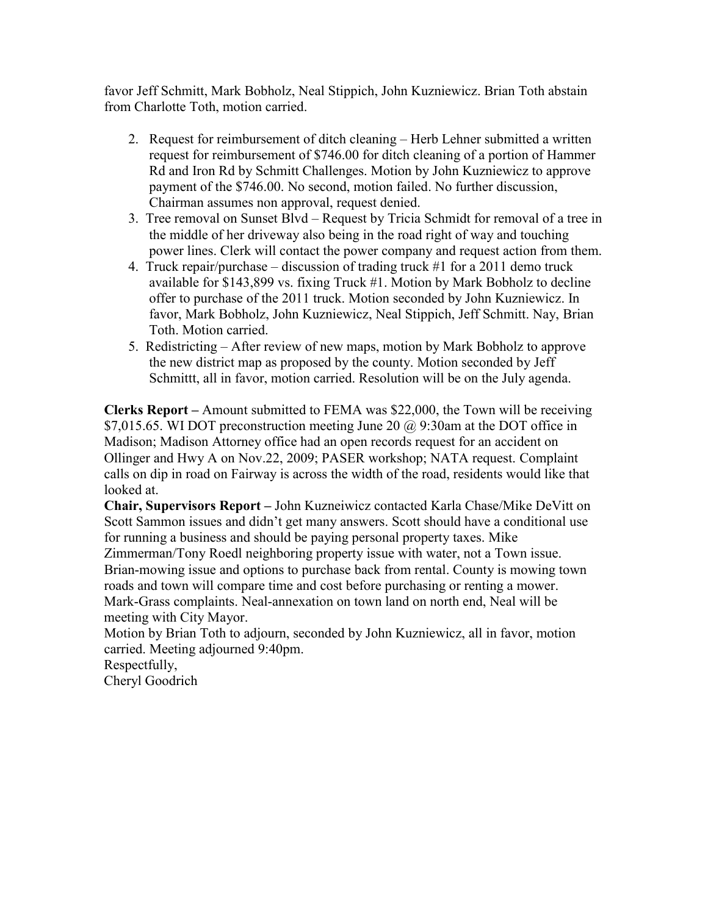favor Jeff Schmitt, Mark Bobholz, Neal Stippich, John Kuzniewicz. Brian Toth abstain from Charlotte Toth, motion carried.

- 2. Request for reimbursement of ditch cleaning Herb Lehner submitted a written request for reimbursement of \$746.00 for ditch cleaning of a portion of Hammer Rd and Iron Rd by Schmitt Challenges. Motion by John Kuzniewicz to approve payment of the \$746.00. No second, motion failed. No further discussion, Chairman assumes non approval, request denied.
- 3. Tree removal on Sunset Blvd Request by Tricia Schmidt for removal of a tree in the middle of her driveway also being in the road right of way and touching power lines. Clerk will contact the power company and request action from them.
- 4. Truck repair/purchase discussion of trading truck #1 for a 2011 demo truck available for \$143,899 vs. fixing Truck #1. Motion by Mark Bobholz to decline offer to purchase of the 2011 truck. Motion seconded by John Kuzniewicz. In favor, Mark Bobholz, John Kuzniewicz, Neal Stippich, Jeff Schmitt. Nay, Brian Toth. Motion carried.
- 5. Redistricting After review of new maps, motion by Mark Bobholz to approve the new district map as proposed by the county. Motion seconded by Jeff Schmittt, all in favor, motion carried. Resolution will be on the July agenda.

**Clerks Report –** Amount submitted to FEMA was \$22,000, the Town will be receiving \$7,015.65. WI DOT preconstruction meeting June 20 @ 9:30am at the DOT office in Madison; Madison Attorney office had an open records request for an accident on Ollinger and Hwy A on Nov.22, 2009; PASER workshop; NATA request. Complaint calls on dip in road on Fairway is across the width of the road, residents would like that looked at.

**Chair, Supervisors Report –** John Kuzneiwicz contacted Karla Chase/Mike DeVitt on Scott Sammon issues and didn't get many answers. Scott should have a conditional use for running a business and should be paying personal property taxes. Mike Zimmerman/Tony Roedl neighboring property issue with water, not a Town issue. Brian-mowing issue and options to purchase back from rental. County is mowing town roads and town will compare time and cost before purchasing or renting a mower. Mark-Grass complaints. Neal-annexation on town land on north end, Neal will be meeting with City Mayor.

Motion by Brian Toth to adjourn, seconded by John Kuzniewicz, all in favor, motion carried. Meeting adjourned 9:40pm.

Respectfully,

Cheryl Goodrich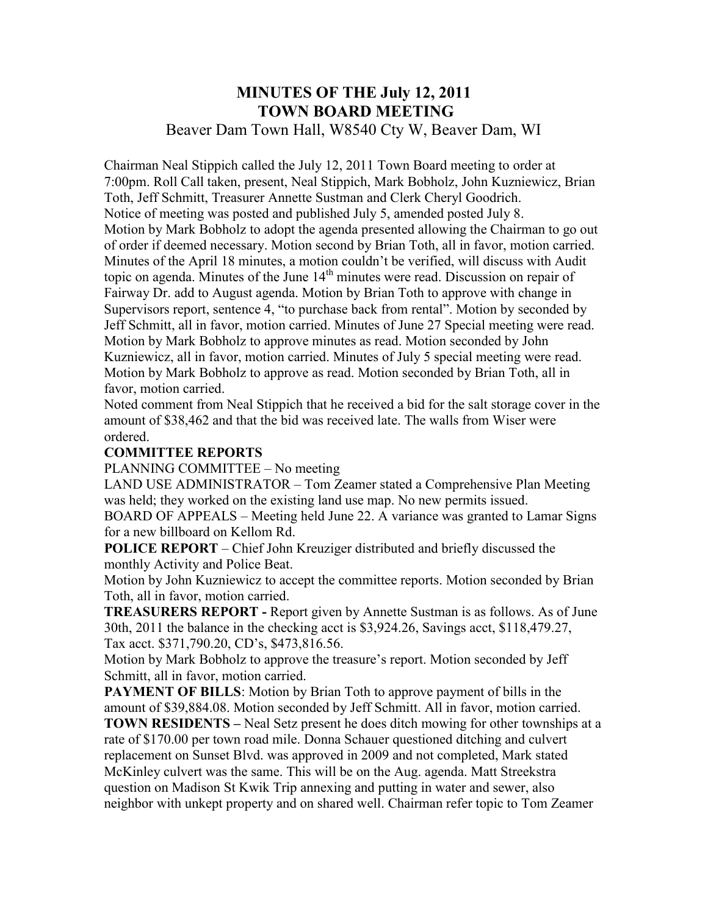## **MINUTES OF THE July 12, 2011 TOWN BOARD MEETING**  Beaver Dam Town Hall, W8540 Cty W, Beaver Dam, WI

Chairman Neal Stippich called the July 12, 2011 Town Board meeting to order at 7:00pm. Roll Call taken, present, Neal Stippich, Mark Bobholz, John Kuzniewicz, Brian Toth, Jeff Schmitt, Treasurer Annette Sustman and Clerk Cheryl Goodrich. Notice of meeting was posted and published July 5, amended posted July 8. Motion by Mark Bobholz to adopt the agenda presented allowing the Chairman to go out of order if deemed necessary. Motion second by Brian Toth, all in favor, motion carried. Minutes of the April 18 minutes, a motion couldn't be verified, will discuss with Audit topic on agenda. Minutes of the June  $14<sup>th</sup>$  minutes were read. Discussion on repair of Fairway Dr. add to August agenda. Motion by Brian Toth to approve with change in Supervisors report, sentence 4, "to purchase back from rental". Motion by seconded by Jeff Schmitt, all in favor, motion carried. Minutes of June 27 Special meeting were read. Motion by Mark Bobholz to approve minutes as read. Motion seconded by John Kuzniewicz, all in favor, motion carried. Minutes of July 5 special meeting were read. Motion by Mark Bobholz to approve as read. Motion seconded by Brian Toth, all in favor, motion carried.

Noted comment from Neal Stippich that he received a bid for the salt storage cover in the amount of \$38,462 and that the bid was received late. The walls from Wiser were ordered.

#### **COMMITTEE REPORTS**

PLANNING COMMITTEE – No meeting

LAND USE ADMINISTRATOR – Tom Zeamer stated a Comprehensive Plan Meeting was held; they worked on the existing land use map. No new permits issued.

BOARD OF APPEALS – Meeting held June 22. A variance was granted to Lamar Signs for a new billboard on Kellom Rd.

**POLICE REPORT** – Chief John Kreuziger distributed and briefly discussed the monthly Activity and Police Beat.

Motion by John Kuzniewicz to accept the committee reports. Motion seconded by Brian Toth, all in favor, motion carried.

**TREASURERS REPORT -** Report given by Annette Sustman is as follows. As of June 30th, 2011 the balance in the checking acct is \$3,924.26, Savings acct, \$118,479.27, Tax acct. \$371,790.20, CD's, \$473,816.56.

Motion by Mark Bobholz to approve the treasure's report. Motion seconded by Jeff Schmitt, all in favor, motion carried.

**PAYMENT OF BILLS:** Motion by Brian Toth to approve payment of bills in the amount of \$39,884.08. Motion seconded by Jeff Schmitt. All in favor, motion carried.

**TOWN RESIDENTS –** Neal Setz present he does ditch mowing for other townships at a rate of \$170.00 per town road mile. Donna Schauer questioned ditching and culvert replacement on Sunset Blvd. was approved in 2009 and not completed, Mark stated McKinley culvert was the same. This will be on the Aug. agenda. Matt Streekstra question on Madison St Kwik Trip annexing and putting in water and sewer, also neighbor with unkept property and on shared well. Chairman refer topic to Tom Zeamer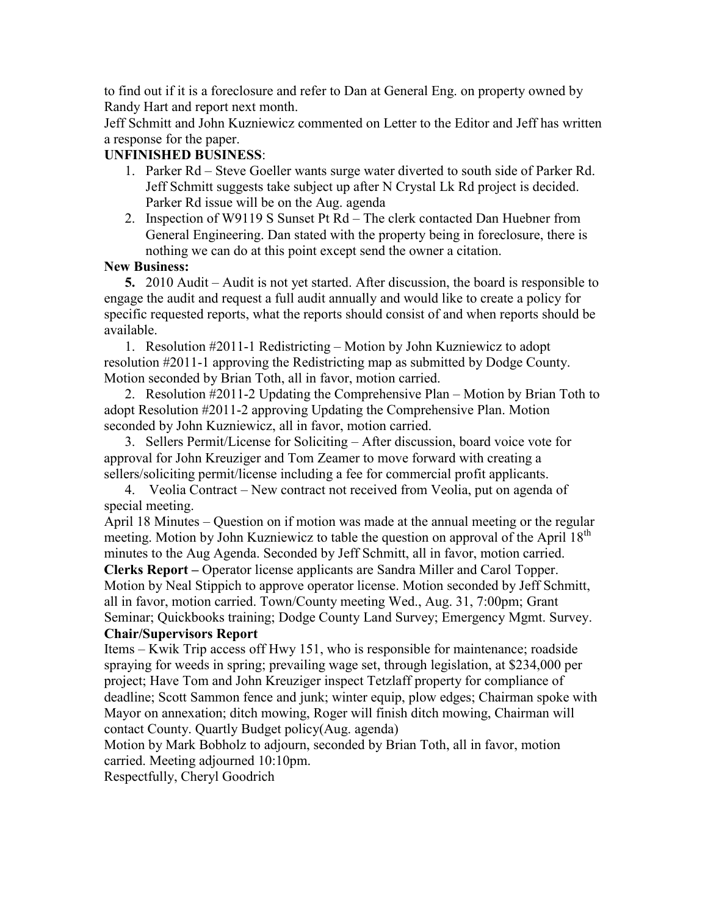to find out if it is a foreclosure and refer to Dan at General Eng. on property owned by Randy Hart and report next month.

Jeff Schmitt and John Kuzniewicz commented on Letter to the Editor and Jeff has written a response for the paper.

### **UNFINISHED BUSINESS**:

- 1. Parker Rd Steve Goeller wants surge water diverted to south side of Parker Rd. Jeff Schmitt suggests take subject up after N Crystal Lk Rd project is decided. Parker Rd issue will be on the Aug. agenda
- 2. Inspection of W9119 S Sunset Pt Rd The clerk contacted Dan Huebner from General Engineering. Dan stated with the property being in foreclosure, there is nothing we can do at this point except send the owner a citation.

#### **New Business:**

 **5.** 2010 Audit – Audit is not yet started. After discussion, the board is responsible to engage the audit and request a full audit annually and would like to create a policy for specific requested reports, what the reports should consist of and when reports should be available.

 1. Resolution #2011-1 Redistricting – Motion by John Kuzniewicz to adopt resolution #2011-1 approving the Redistricting map as submitted by Dodge County. Motion seconded by Brian Toth, all in favor, motion carried.

 2. Resolution #2011-2 Updating the Comprehensive Plan – Motion by Brian Toth to adopt Resolution #2011-2 approving Updating the Comprehensive Plan. Motion seconded by John Kuzniewicz, all in favor, motion carried.

 3. Sellers Permit/License for Soliciting – After discussion, board voice vote for approval for John Kreuziger and Tom Zeamer to move forward with creating a sellers/soliciting permit/license including a fee for commercial profit applicants.

 4. Veolia Contract – New contract not received from Veolia, put on agenda of special meeting.

April 18 Minutes – Question on if motion was made at the annual meeting or the regular meeting. Motion by John Kuzniewicz to table the question on approval of the April 18<sup>th</sup> minutes to the Aug Agenda. Seconded by Jeff Schmitt, all in favor, motion carried.

**Clerks Report –** Operator license applicants are Sandra Miller and Carol Topper. Motion by Neal Stippich to approve operator license. Motion seconded by Jeff Schmitt, all in favor, motion carried. Town/County meeting Wed., Aug. 31, 7:00pm; Grant Seminar; Quickbooks training; Dodge County Land Survey; Emergency Mgmt. Survey. **Chair/Supervisors Report** 

Items – Kwik Trip access off Hwy 151, who is responsible for maintenance; roadside spraying for weeds in spring; prevailing wage set, through legislation, at \$234,000 per project; Have Tom and John Kreuziger inspect Tetzlaff property for compliance of deadline; Scott Sammon fence and junk; winter equip, plow edges; Chairman spoke with Mayor on annexation; ditch mowing, Roger will finish ditch mowing, Chairman will contact County. Quartly Budget policy(Aug. agenda)

Motion by Mark Bobholz to adjourn, seconded by Brian Toth, all in favor, motion carried. Meeting adjourned 10:10pm.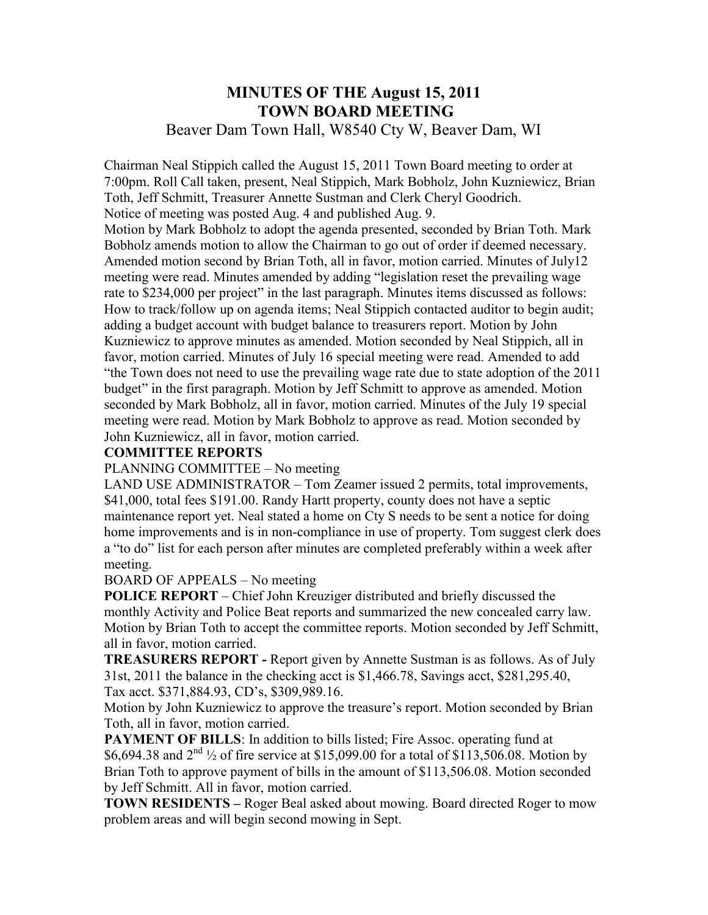## **MINUTES OF THE August 15, 2011 TOWN BOARD MEETING**  Beaver Dam Town Hall, W8540 Cty W, Beaver Dam, WI

Chairman Neal Stippich called the August 15, 2011 Town Board meeting to order at 7:00pm. Roll Call taken, present, Neal Stippich, Mark Bobholz, John Kuzniewicz, Brian Toth, Jeff Schmitt, Treasurer Annette Sustman and Clerk Cheryl Goodrich. Notice of meeting was posted Aug. 4 and published Aug. 9.

Motion by Mark Bobholz to adopt the agenda presented, seconded by Brian Toth. Mark Bobholz amends motion to allow the Chairman to go out of order if deemed necessary. Amended motion second by Brian Toth, all in favor, motion carried. Minutes of July12 meeting were read. Minutes amended by adding "legislation reset the prevailing wage rate to \$234,000 per project" in the last paragraph. Minutes items discussed as follows: How to track/follow up on agenda items; Neal Stippich contacted auditor to begin audit; adding a budget account with budget balance to treasurers report. Motion by John Kuzniewicz to approve minutes as amended. Motion seconded by Neal Stippich, all in favor, motion carried. Minutes of July 16 special meeting were read. Amended to add "the Town does not need to use the prevailing wage rate due to state adoption of the 2011 budget" in the first paragraph. Motion by Jeff Schmitt to approve as amended. Motion seconded by Mark Bobholz, all in favor, motion carried. Minutes of the July 19 special meeting were read. Motion by Mark Bobholz to approve as read. Motion seconded by John Kuzniewicz, all in favor, motion carried.

#### **COMMITTEE REPORTS**

PLANNING COMMITTEE – No meeting

LAND USE ADMINISTRATOR – Tom Zeamer issued 2 permits, total improvements, \$41,000, total fees \$191.00. Randy Hartt property, county does not have a septic maintenance report yet. Neal stated a home on Cty S needs to be sent a notice for doing home improvements and is in non-compliance in use of property. Tom suggest clerk does a "to do" list for each person after minutes are completed preferably within a week after meeting.

#### BOARD OF APPEALS – No meeting

**POLICE REPORT** – Chief John Kreuziger distributed and briefly discussed the monthly Activity and Police Beat reports and summarized the new concealed carry law. Motion by Brian Toth to accept the committee reports. Motion seconded by Jeff Schmitt, all in favor, motion carried.

**TREASURERS REPORT -** Report given by Annette Sustman is as follows. As of July 31st, 2011 the balance in the checking acct is \$1,466.78, Savings acct, \$281,295.40, Tax acct. \$371,884.93, CD's, \$309,989.16.

Motion by John Kuzniewicz to approve the treasure's report. Motion seconded by Brian Toth, all in favor, motion carried.

**PAYMENT OF BILLS:** In addition to bills listed; Fire Assoc. operating fund at \$6,694.38 and  $2^{nd}$  <sup>1</sup>/<sub>2</sub> of fire service at \$15,099.00 for a total of \$113,506.08. Motion by Brian Toth to approve payment of bills in the amount of \$113,506.08. Motion seconded by Jeff Schmitt. All in favor, motion carried.

**TOWN RESIDENTS –** Roger Beal asked about mowing. Board directed Roger to mow problem areas and will begin second mowing in Sept.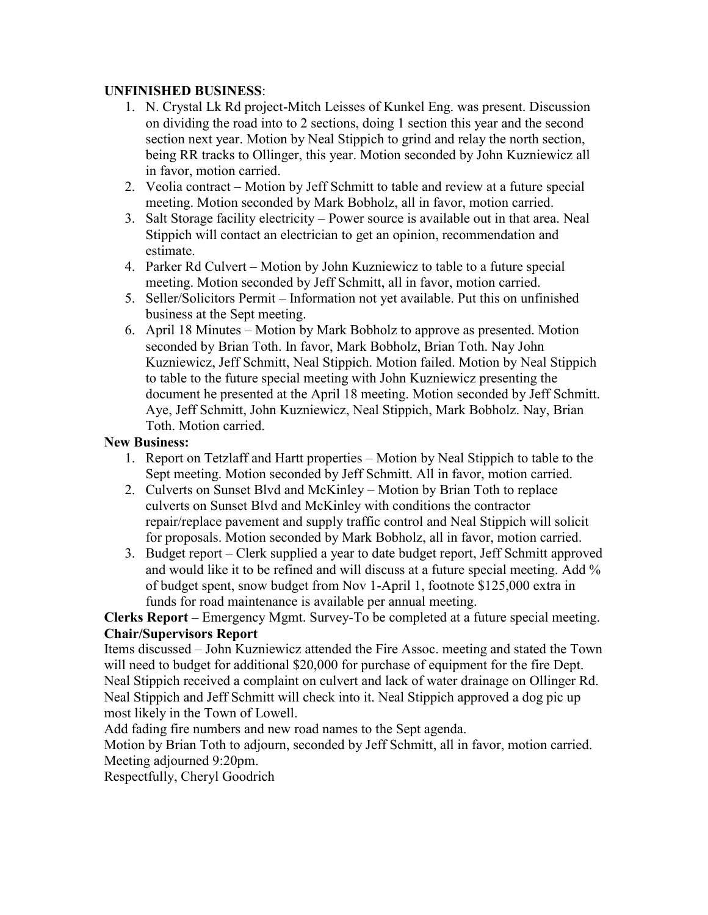#### **UNFINISHED BUSINESS**:

- 1. N. Crystal Lk Rd project-Mitch Leisses of Kunkel Eng. was present. Discussion on dividing the road into to 2 sections, doing 1 section this year and the second section next year. Motion by Neal Stippich to grind and relay the north section, being RR tracks to Ollinger, this year. Motion seconded by John Kuzniewicz all in favor, motion carried.
- 2. Veolia contract Motion by Jeff Schmitt to table and review at a future special meeting. Motion seconded by Mark Bobholz, all in favor, motion carried.
- 3. Salt Storage facility electricity Power source is available out in that area. Neal Stippich will contact an electrician to get an opinion, recommendation and estimate.
- 4. Parker Rd Culvert Motion by John Kuzniewicz to table to a future special meeting. Motion seconded by Jeff Schmitt, all in favor, motion carried.
- 5. Seller/Solicitors Permit Information not yet available. Put this on unfinished business at the Sept meeting.
- 6. April 18 Minutes Motion by Mark Bobholz to approve as presented. Motion seconded by Brian Toth. In favor, Mark Bobholz, Brian Toth. Nay John Kuzniewicz, Jeff Schmitt, Neal Stippich. Motion failed. Motion by Neal Stippich to table to the future special meeting with John Kuzniewicz presenting the document he presented at the April 18 meeting. Motion seconded by Jeff Schmitt. Aye, Jeff Schmitt, John Kuzniewicz, Neal Stippich, Mark Bobholz. Nay, Brian Toth. Motion carried.

#### **New Business:**

- 1. Report on Tetzlaff and Hartt properties Motion by Neal Stippich to table to the Sept meeting. Motion seconded by Jeff Schmitt. All in favor, motion carried.
- 2. Culverts on Sunset Blvd and McKinley Motion by Brian Toth to replace culverts on Sunset Blvd and McKinley with conditions the contractor repair/replace pavement and supply traffic control and Neal Stippich will solicit for proposals. Motion seconded by Mark Bobholz, all in favor, motion carried.
- 3. Budget report Clerk supplied a year to date budget report, Jeff Schmitt approved and would like it to be refined and will discuss at a future special meeting. Add % of budget spent, snow budget from Nov 1-April 1, footnote \$125,000 extra in funds for road maintenance is available per annual meeting.

**Clerks Report –** Emergency Mgmt. Survey-To be completed at a future special meeting. **Chair/Supervisors Report** 

Items discussed – John Kuzniewicz attended the Fire Assoc. meeting and stated the Town will need to budget for additional \$20,000 for purchase of equipment for the fire Dept. Neal Stippich received a complaint on culvert and lack of water drainage on Ollinger Rd. Neal Stippich and Jeff Schmitt will check into it. Neal Stippich approved a dog pic up most likely in the Town of Lowell.

Add fading fire numbers and new road names to the Sept agenda.

Motion by Brian Toth to adjourn, seconded by Jeff Schmitt, all in favor, motion carried. Meeting adjourned 9:20pm.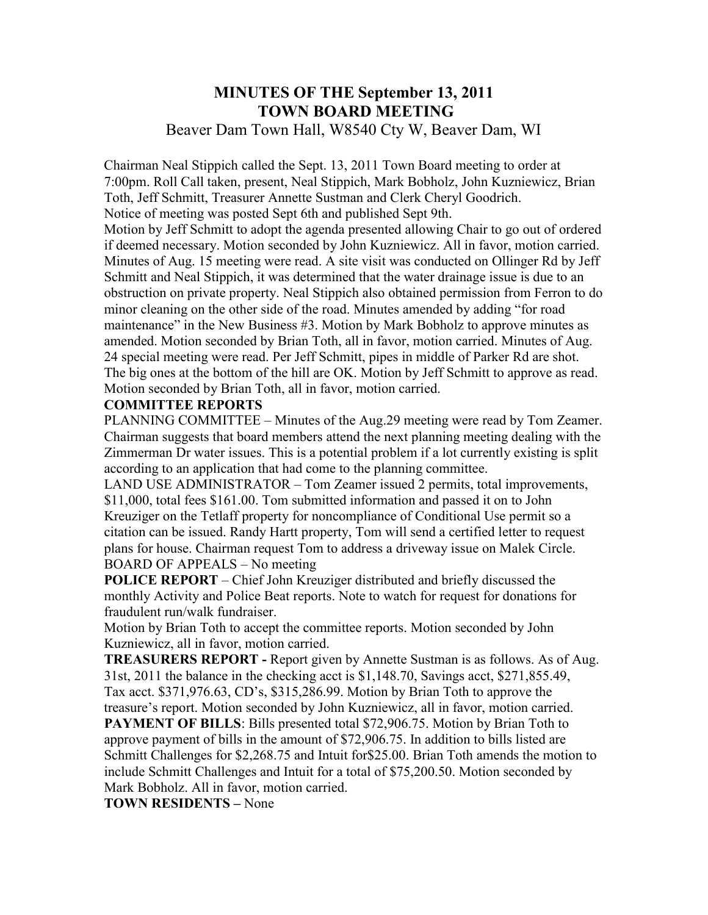## **MINUTES OF THE September 13, 2011 TOWN BOARD MEETING**

## Beaver Dam Town Hall, W8540 Cty W, Beaver Dam, WI

Chairman Neal Stippich called the Sept. 13, 2011 Town Board meeting to order at 7:00pm. Roll Call taken, present, Neal Stippich, Mark Bobholz, John Kuzniewicz, Brian Toth, Jeff Schmitt, Treasurer Annette Sustman and Clerk Cheryl Goodrich. Notice of meeting was posted Sept 6th and published Sept 9th.

Motion by Jeff Schmitt to adopt the agenda presented allowing Chair to go out of ordered if deemed necessary. Motion seconded by John Kuzniewicz. All in favor, motion carried. Minutes of Aug. 15 meeting were read. A site visit was conducted on Ollinger Rd by Jeff Schmitt and Neal Stippich, it was determined that the water drainage issue is due to an obstruction on private property. Neal Stippich also obtained permission from Ferron to do minor cleaning on the other side of the road. Minutes amended by adding "for road maintenance" in the New Business #3. Motion by Mark Bobholz to approve minutes as amended. Motion seconded by Brian Toth, all in favor, motion carried. Minutes of Aug. 24 special meeting were read. Per Jeff Schmitt, pipes in middle of Parker Rd are shot. The big ones at the bottom of the hill are OK. Motion by Jeff Schmitt to approve as read. Motion seconded by Brian Toth, all in favor, motion carried.

#### **COMMITTEE REPORTS**

PLANNING COMMITTEE – Minutes of the Aug.29 meeting were read by Tom Zeamer. Chairman suggests that board members attend the next planning meeting dealing with the Zimmerman Dr water issues. This is a potential problem if a lot currently existing is split according to an application that had come to the planning committee.

LAND USE ADMINISTRATOR – Tom Zeamer issued 2 permits, total improvements, \$11,000, total fees \$161.00. Tom submitted information and passed it on to John Kreuziger on the Tetlaff property for noncompliance of Conditional Use permit so a citation can be issued. Randy Hartt property, Tom will send a certified letter to request plans for house. Chairman request Tom to address a driveway issue on Malek Circle. BOARD OF APPEALS – No meeting

**POLICE REPORT** – Chief John Kreuziger distributed and briefly discussed the monthly Activity and Police Beat reports. Note to watch for request for donations for fraudulent run/walk fundraiser.

Motion by Brian Toth to accept the committee reports. Motion seconded by John Kuzniewicz, all in favor, motion carried.

**TREASURERS REPORT -** Report given by Annette Sustman is as follows. As of Aug. 31st, 2011 the balance in the checking acct is \$1,148.70, Savings acct, \$271,855.49, Tax acct. \$371,976.63, CD's, \$315,286.99. Motion by Brian Toth to approve the

treasure's report. Motion seconded by John Kuzniewicz, all in favor, motion carried. **PAYMENT OF BILLS**: Bills presented total \$72,906.75. Motion by Brian Toth to approve payment of bills in the amount of \$72,906.75. In addition to bills listed are Schmitt Challenges for \$2,268.75 and Intuit for\$25.00. Brian Toth amends the motion to include Schmitt Challenges and Intuit for a total of \$75,200.50. Motion seconded by Mark Bobholz. All in favor, motion carried.

**TOWN RESIDENTS –** None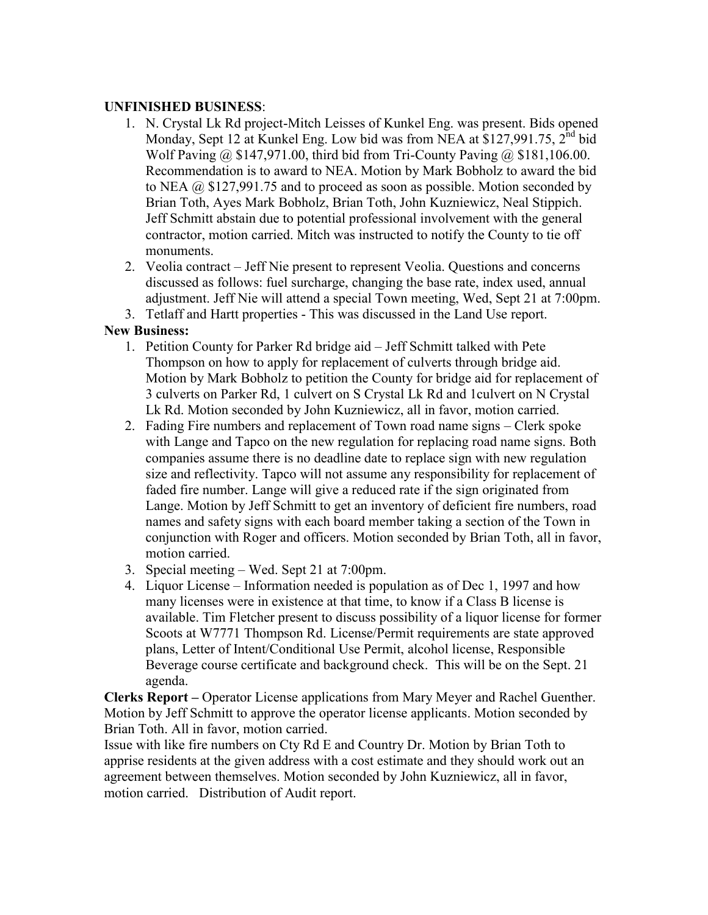#### **UNFINISHED BUSINESS**:

- 1. N. Crystal Lk Rd project-Mitch Leisses of Kunkel Eng. was present. Bids opened Monday, Sept 12 at Kunkel Eng. Low bid was from NEA at \$127,991.75, 2<sup>nd</sup> bid Wolf Paving @ \$147,971.00, third bid from Tri-County Paving @ \$181,106.00. Recommendation is to award to NEA. Motion by Mark Bobholz to award the bid to NEA @ \$127,991.75 and to proceed as soon as possible. Motion seconded by Brian Toth, Ayes Mark Bobholz, Brian Toth, John Kuzniewicz, Neal Stippich. Jeff Schmitt abstain due to potential professional involvement with the general contractor, motion carried. Mitch was instructed to notify the County to tie off monuments.
- 2. Veolia contract Jeff Nie present to represent Veolia. Questions and concerns discussed as follows: fuel surcharge, changing the base rate, index used, annual adjustment. Jeff Nie will attend a special Town meeting, Wed, Sept 21 at 7:00pm.
- 3. Tetlaff and Hartt properties This was discussed in the Land Use report.

#### **New Business:**

- 1. Petition County for Parker Rd bridge aid Jeff Schmitt talked with Pete Thompson on how to apply for replacement of culverts through bridge aid. Motion by Mark Bobholz to petition the County for bridge aid for replacement of 3 culverts on Parker Rd, 1 culvert on S Crystal Lk Rd and 1culvert on N Crystal Lk Rd. Motion seconded by John Kuzniewicz, all in favor, motion carried.
- 2. Fading Fire numbers and replacement of Town road name signs Clerk spoke with Lange and Tapco on the new regulation for replacing road name signs. Both companies assume there is no deadline date to replace sign with new regulation size and reflectivity. Tapco will not assume any responsibility for replacement of faded fire number. Lange will give a reduced rate if the sign originated from Lange. Motion by Jeff Schmitt to get an inventory of deficient fire numbers, road names and safety signs with each board member taking a section of the Town in conjunction with Roger and officers. Motion seconded by Brian Toth, all in favor, motion carried.
- 3. Special meeting Wed. Sept 21 at 7:00pm.
- 4. Liquor License Information needed is population as of Dec 1, 1997 and how many licenses were in existence at that time, to know if a Class B license is available. Tim Fletcher present to discuss possibility of a liquor license for former Scoots at W7771 Thompson Rd. License/Permit requirements are state approved plans, Letter of Intent/Conditional Use Permit, alcohol license, Responsible Beverage course certificate and background check. This will be on the Sept. 21 agenda.

**Clerks Report –** Operator License applications from Mary Meyer and Rachel Guenther. Motion by Jeff Schmitt to approve the operator license applicants. Motion seconded by Brian Toth. All in favor, motion carried.

Issue with like fire numbers on Cty Rd E and Country Dr. Motion by Brian Toth to apprise residents at the given address with a cost estimate and they should work out an agreement between themselves. Motion seconded by John Kuzniewicz, all in favor, motion carried. Distribution of Audit report.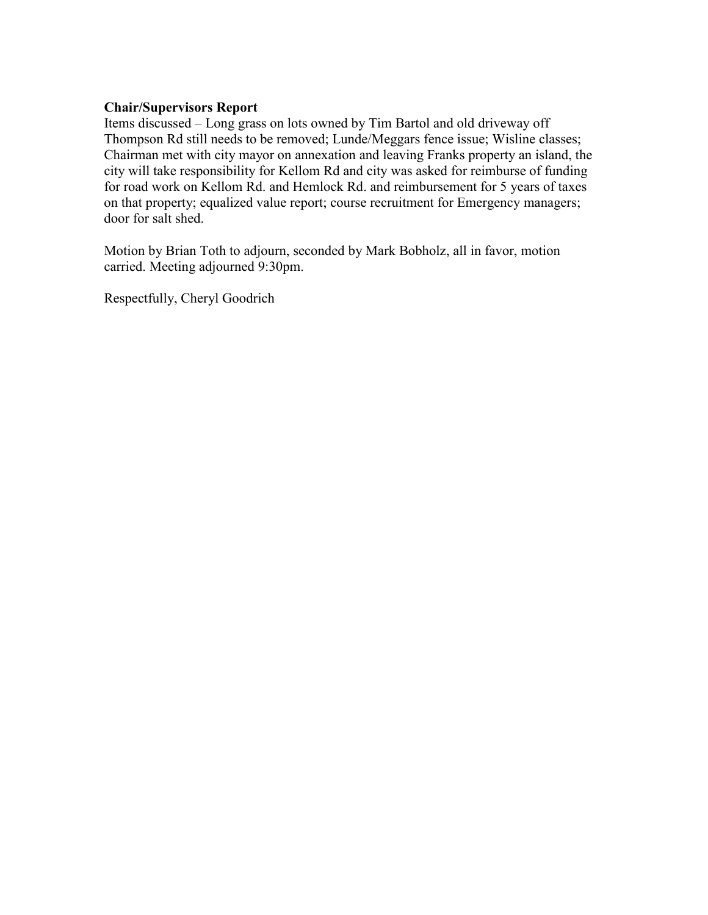#### **Chair/Supervisors Report**

Items discussed – Long grass on lots owned by Tim Bartol and old driveway off Thompson Rd still needs to be removed; Lunde/Meggars fence issue; Wisline classes; Chairman met with city mayor on annexation and leaving Franks property an island, the city will take responsibility for Kellom Rd and city was asked for reimburse of funding for road work on Kellom Rd. and Hemlock Rd. and reimbursement for 5 years of taxes on that property; equalized value report; course recruitment for Emergency managers; door for salt shed.

Motion by Brian Toth to adjourn, seconded by Mark Bobholz, all in favor, motion carried. Meeting adjourned 9:30pm.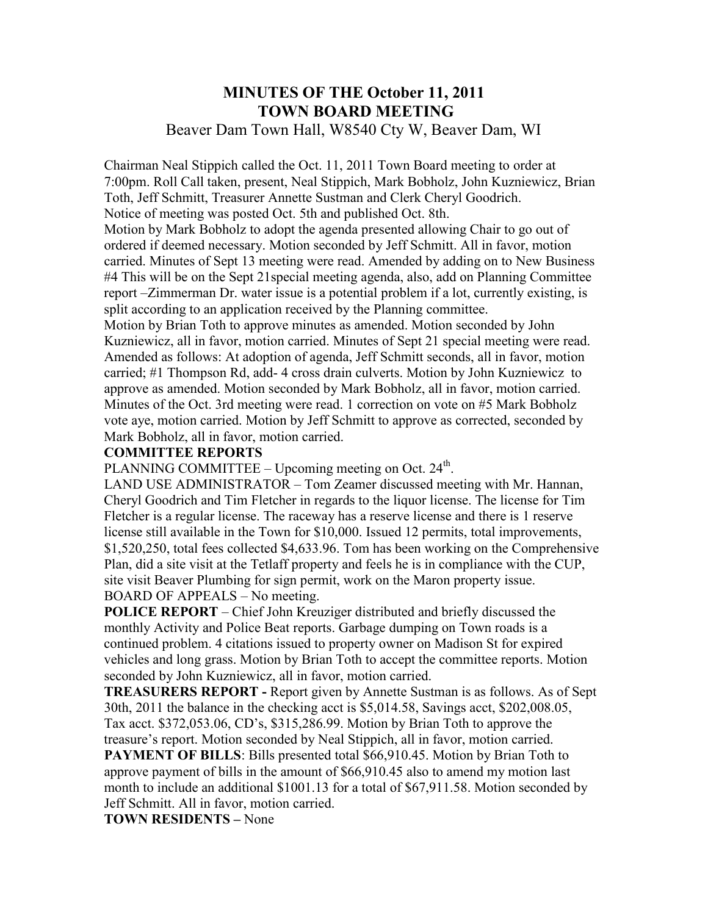# **MINUTES OF THE October 11, 2011 TOWN BOARD MEETING**

## Beaver Dam Town Hall, W8540 Cty W, Beaver Dam, WI

Chairman Neal Stippich called the Oct. 11, 2011 Town Board meeting to order at 7:00pm. Roll Call taken, present, Neal Stippich, Mark Bobholz, John Kuzniewicz, Brian Toth, Jeff Schmitt, Treasurer Annette Sustman and Clerk Cheryl Goodrich. Notice of meeting was posted Oct. 5th and published Oct. 8th.

Motion by Mark Bobholz to adopt the agenda presented allowing Chair to go out of ordered if deemed necessary. Motion seconded by Jeff Schmitt. All in favor, motion carried. Minutes of Sept 13 meeting were read. Amended by adding on to New Business #4 This will be on the Sept 21special meeting agenda, also, add on Planning Committee report –Zimmerman Dr. water issue is a potential problem if a lot, currently existing, is split according to an application received by the Planning committee.

Motion by Brian Toth to approve minutes as amended. Motion seconded by John Kuzniewicz, all in favor, motion carried. Minutes of Sept 21 special meeting were read. Amended as follows: At adoption of agenda, Jeff Schmitt seconds, all in favor, motion carried; #1 Thompson Rd, add- 4 cross drain culverts. Motion by John Kuzniewicz to approve as amended. Motion seconded by Mark Bobholz, all in favor, motion carried. Minutes of the Oct. 3rd meeting were read. 1 correction on vote on #5 Mark Bobholz vote aye, motion carried. Motion by Jeff Schmitt to approve as corrected, seconded by Mark Bobholz, all in favor, motion carried.

#### **COMMITTEE REPORTS**

PLANNING COMMITTEE – Upcoming meeting on Oct.  $24<sup>th</sup>$ .

LAND USE ADMINISTRATOR – Tom Zeamer discussed meeting with Mr. Hannan, Cheryl Goodrich and Tim Fletcher in regards to the liquor license. The license for Tim Fletcher is a regular license. The raceway has a reserve license and there is 1 reserve license still available in the Town for \$10,000. Issued 12 permits, total improvements, \$1,520,250, total fees collected \$4,633.96. Tom has been working on the Comprehensive Plan, did a site visit at the Tetlaff property and feels he is in compliance with the CUP, site visit Beaver Plumbing for sign permit, work on the Maron property issue. BOARD OF APPEALS – No meeting.

**POLICE REPORT** – Chief John Kreuziger distributed and briefly discussed the monthly Activity and Police Beat reports. Garbage dumping on Town roads is a continued problem. 4 citations issued to property owner on Madison St for expired vehicles and long grass. Motion by Brian Toth to accept the committee reports. Motion seconded by John Kuzniewicz, all in favor, motion carried.

**TREASURERS REPORT -** Report given by Annette Sustman is as follows. As of Sept 30th, 2011 the balance in the checking acct is \$5,014.58, Savings acct, \$202,008.05, Tax acct. \$372,053.06, CD's, \$315,286.99. Motion by Brian Toth to approve the

treasure's report. Motion seconded by Neal Stippich, all in favor, motion carried. **PAYMENT OF BILLS:** Bills presented total \$66,910.45. Motion by Brian Toth to approve payment of bills in the amount of \$66,910.45 also to amend my motion last month to include an additional \$1001.13 for a total of \$67,911.58. Motion seconded by Jeff Schmitt. All in favor, motion carried.

**TOWN RESIDENTS –** None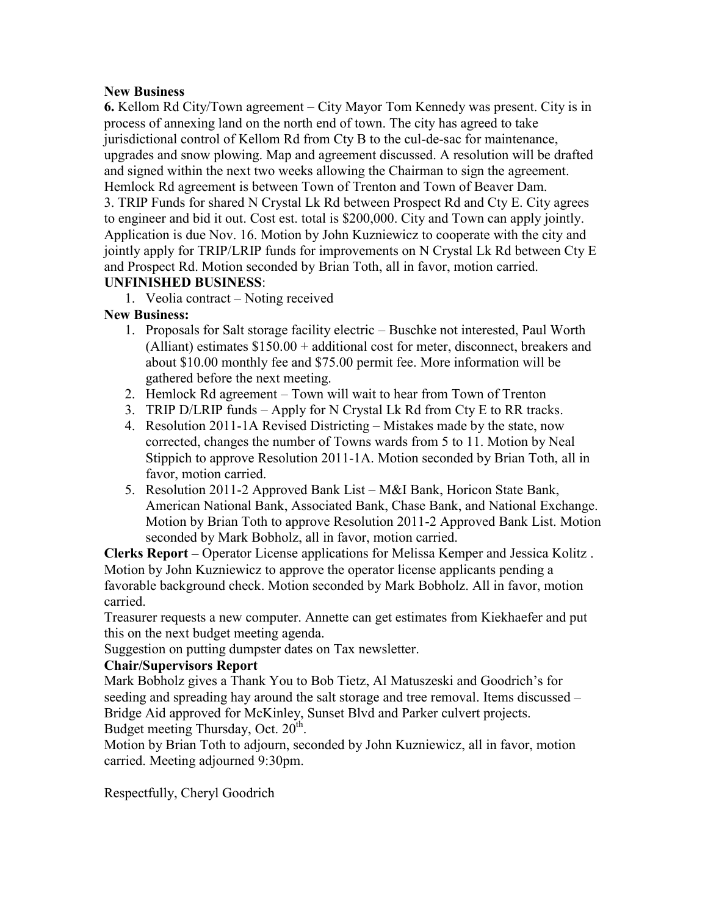#### **New Business**

**6.** Kellom Rd City/Town agreement – City Mayor Tom Kennedy was present. City is in process of annexing land on the north end of town. The city has agreed to take jurisdictional control of Kellom Rd from Cty B to the cul-de-sac for maintenance, upgrades and snow plowing. Map and agreement discussed. A resolution will be drafted and signed within the next two weeks allowing the Chairman to sign the agreement. Hemlock Rd agreement is between Town of Trenton and Town of Beaver Dam. 3. TRIP Funds for shared N Crystal Lk Rd between Prospect Rd and Cty E. City agrees

to engineer and bid it out. Cost est. total is \$200,000. City and Town can apply jointly. Application is due Nov. 16. Motion by John Kuzniewicz to cooperate with the city and jointly apply for TRIP/LRIP funds for improvements on N Crystal Lk Rd between Cty E and Prospect Rd. Motion seconded by Brian Toth, all in favor, motion carried. **UNFINISHED BUSINESS**:

## 1. Veolia contract – Noting received

#### **New Business:**

- 1. Proposals for Salt storage facility electric Buschke not interested, Paul Worth (Alliant) estimates \$150.00 + additional cost for meter, disconnect, breakers and about \$10.00 monthly fee and \$75.00 permit fee. More information will be gathered before the next meeting.
- 2. Hemlock Rd agreement Town will wait to hear from Town of Trenton
- 3. TRIP D/LRIP funds Apply for N Crystal Lk Rd from Cty E to RR tracks.
- 4. Resolution 2011-1A Revised Districting Mistakes made by the state, now corrected, changes the number of Towns wards from 5 to 11. Motion by Neal Stippich to approve Resolution 2011-1A. Motion seconded by Brian Toth, all in favor, motion carried.
- 5. Resolution 2011-2 Approved Bank List M&I Bank, Horicon State Bank, American National Bank, Associated Bank, Chase Bank, and National Exchange. Motion by Brian Toth to approve Resolution 2011-2 Approved Bank List. Motion seconded by Mark Bobholz, all in favor, motion carried.

**Clerks Report –** Operator License applications for Melissa Kemper and Jessica Kolitz . Motion by John Kuzniewicz to approve the operator license applicants pending a favorable background check. Motion seconded by Mark Bobholz. All in favor, motion carried.

Treasurer requests a new computer. Annette can get estimates from Kiekhaefer and put this on the next budget meeting agenda.

Suggestion on putting dumpster dates on Tax newsletter.

#### **Chair/Supervisors Report**

Mark Bobholz gives a Thank You to Bob Tietz, Al Matuszeski and Goodrich's for seeding and spreading hay around the salt storage and tree removal. Items discussed – Bridge Aid approved for McKinley, Sunset Blvd and Parker culvert projects. Budget meeting Thursday, Oct. 20<sup>th</sup>.

Motion by Brian Toth to adjourn, seconded by John Kuzniewicz, all in favor, motion carried. Meeting adjourned 9:30pm.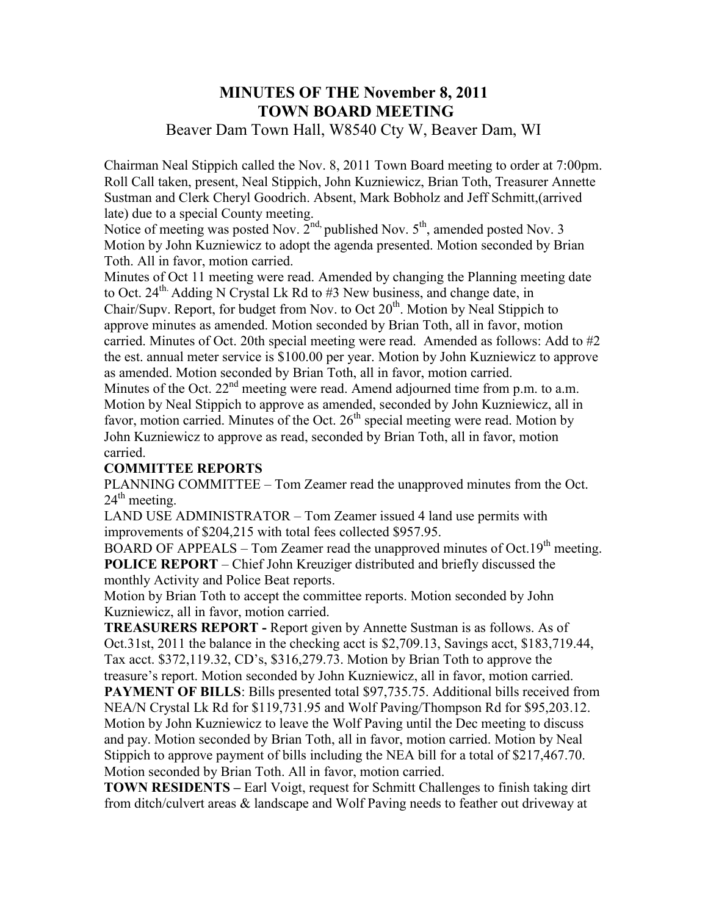# **MINUTES OF THE November 8, 2011 TOWN BOARD MEETING**

## Beaver Dam Town Hall, W8540 Cty W, Beaver Dam, WI

Chairman Neal Stippich called the Nov. 8, 2011 Town Board meeting to order at 7:00pm. Roll Call taken, present, Neal Stippich, John Kuzniewicz, Brian Toth, Treasurer Annette Sustman and Clerk Cheryl Goodrich. Absent, Mark Bobholz and Jeff Schmitt,(arrived late) due to a special County meeting.

Notice of meeting was posted Nov. 2<sup>nd,</sup> published Nov. 5<sup>th</sup>, amended posted Nov. 3 Motion by John Kuzniewicz to adopt the agenda presented. Motion seconded by Brian Toth. All in favor, motion carried.

Minutes of Oct 11 meeting were read. Amended by changing the Planning meeting date to Oct. 24<sup>th.</sup> Adding N Crystal Lk Rd to #3 New business, and change date, in Chair/Supv. Report, for budget from Nov. to Oct 20<sup>th</sup>. Motion by Neal Stippich to approve minutes as amended. Motion seconded by Brian Toth, all in favor, motion carried. Minutes of Oct. 20th special meeting were read. Amended as follows: Add to #2 the est. annual meter service is \$100.00 per year. Motion by John Kuzniewicz to approve as amended. Motion seconded by Brian Toth, all in favor, motion carried.

Minutes of the Oct. 22<sup>nd</sup> meeting were read. Amend adjourned time from p.m. to a.m. Motion by Neal Stippich to approve as amended, seconded by John Kuzniewicz, all in favor, motion carried. Minutes of the Oct.  $26<sup>th</sup>$  special meeting were read. Motion by John Kuzniewicz to approve as read, seconded by Brian Toth, all in favor, motion carried.

## **COMMITTEE REPORTS**

PLANNING COMMITTEE – Tom Zeamer read the unapproved minutes from the Oct.  $24<sup>th</sup>$  meeting.

LAND USE ADMINISTRATOR – Tom Zeamer issued 4 land use permits with improvements of \$204,215 with total fees collected \$957.95.

BOARD OF APPEALS – Tom Zeamer read the unapproved minutes of Oct.19<sup>th</sup> meeting. **POLICE REPORT** – Chief John Kreuziger distributed and briefly discussed the monthly Activity and Police Beat reports.

Motion by Brian Toth to accept the committee reports. Motion seconded by John Kuzniewicz, all in favor, motion carried.

**TREASURERS REPORT -** Report given by Annette Sustman is as follows. As of Oct.31st, 2011 the balance in the checking acct is \$2,709.13, Savings acct, \$183,719.44, Tax acct. \$372,119.32, CD's, \$316,279.73. Motion by Brian Toth to approve the treasure's report. Motion seconded by John Kuzniewicz, all in favor, motion carried. **PAYMENT OF BILLS:** Bills presented total \$97,735.75. Additional bills received from NEA/N Crystal Lk Rd for \$119,731.95 and Wolf Paving/Thompson Rd for \$95,203.12. Motion by John Kuzniewicz to leave the Wolf Paving until the Dec meeting to discuss and pay. Motion seconded by Brian Toth, all in favor, motion carried. Motion by Neal Stippich to approve payment of bills including the NEA bill for a total of \$217,467.70. Motion seconded by Brian Toth. All in favor, motion carried.

**TOWN RESIDENTS –** Earl Voigt, request for Schmitt Challenges to finish taking dirt from ditch/culvert areas & landscape and Wolf Paving needs to feather out driveway at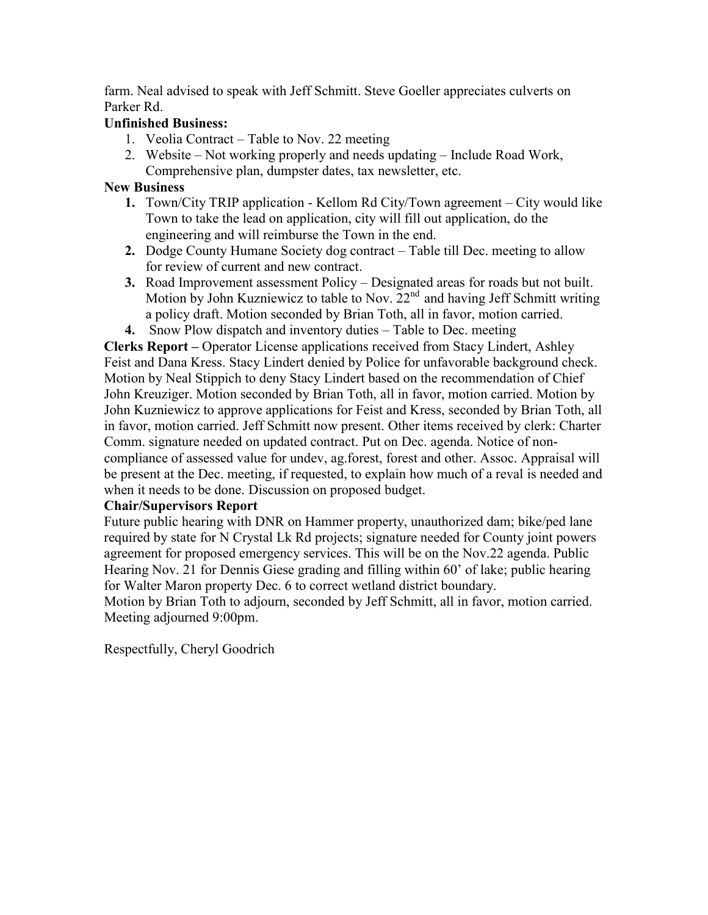farm. Neal advised to speak with Jeff Schmitt. Steve Goeller appreciates culverts on Parker Rd.

### **Unfinished Business:**

- 1. Veolia Contract Table to Nov. 22 meeting
- 2. Website Not working properly and needs updating Include Road Work, Comprehensive plan, dumpster dates, tax newsletter, etc.

#### **New Business**

- **1.** Town/City TRIP application Kellom Rd City/Town agreement City would like Town to take the lead on application, city will fill out application, do the engineering and will reimburse the Town in the end.
- **2.** Dodge County Humane Society dog contract Table till Dec. meeting to allow for review of current and new contract.
- **3.** Road Improvement assessment Policy Designated areas for roads but not built. Motion by John Kuzniewicz to table to Nov.  $22<sup>nd</sup>$  and having Jeff Schmitt writing a policy draft. Motion seconded by Brian Toth, all in favor, motion carried.
- **4.** Snow Plow dispatch and inventory duties Table to Dec. meeting

**Clerks Report –** Operator License applications received from Stacy Lindert, Ashley Feist and Dana Kress. Stacy Lindert denied by Police for unfavorable background check. Motion by Neal Stippich to deny Stacy Lindert based on the recommendation of Chief John Kreuziger. Motion seconded by Brian Toth, all in favor, motion carried. Motion by John Kuzniewicz to approve applications for Feist and Kress, seconded by Brian Toth, all in favor, motion carried. Jeff Schmitt now present. Other items received by clerk: Charter Comm. signature needed on updated contract. Put on Dec. agenda. Notice of noncompliance of assessed value for undev, ag.forest, forest and other. Assoc. Appraisal will be present at the Dec. meeting, if requested, to explain how much of a reval is needed and when it needs to be done. Discussion on proposed budget.

#### **Chair/Supervisors Report**

Future public hearing with DNR on Hammer property, unauthorized dam; bike/ped lane required by state for N Crystal Lk Rd projects; signature needed for County joint powers agreement for proposed emergency services. This will be on the Nov.22 agenda. Public Hearing Nov. 21 for Dennis Giese grading and filling within 60' of lake; public hearing for Walter Maron property Dec. 6 to correct wetland district boundary.

Motion by Brian Toth to adjourn, seconded by Jeff Schmitt, all in favor, motion carried. Meeting adjourned 9:00pm.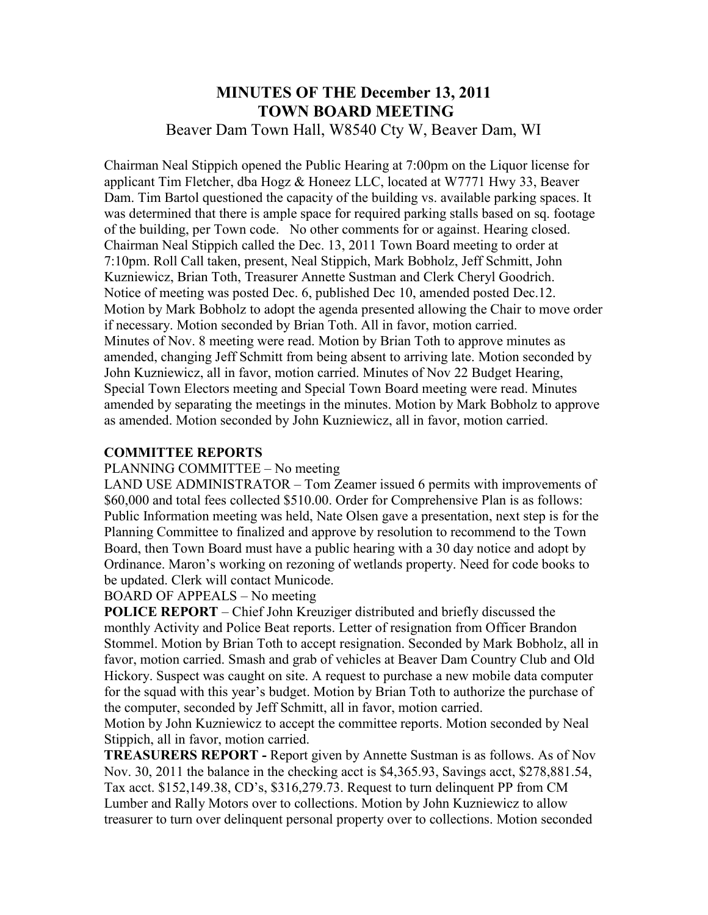## **MINUTES OF THE December 13, 2011 TOWN BOARD MEETING**  Beaver Dam Town Hall, W8540 Cty W, Beaver Dam, WI

Chairman Neal Stippich opened the Public Hearing at 7:00pm on the Liquor license for applicant Tim Fletcher, dba Hogz & Honeez LLC, located at W7771 Hwy 33, Beaver Dam. Tim Bartol questioned the capacity of the building vs. available parking spaces. It was determined that there is ample space for required parking stalls based on sq. footage of the building, per Town code. No other comments for or against. Hearing closed. Chairman Neal Stippich called the Dec. 13, 2011 Town Board meeting to order at 7:10pm. Roll Call taken, present, Neal Stippich, Mark Bobholz, Jeff Schmitt, John Kuzniewicz, Brian Toth, Treasurer Annette Sustman and Clerk Cheryl Goodrich. Notice of meeting was posted Dec. 6, published Dec 10, amended posted Dec.12. Motion by Mark Bobholz to adopt the agenda presented allowing the Chair to move order if necessary. Motion seconded by Brian Toth. All in favor, motion carried. Minutes of Nov. 8 meeting were read. Motion by Brian Toth to approve minutes as amended, changing Jeff Schmitt from being absent to arriving late. Motion seconded by John Kuzniewicz, all in favor, motion carried. Minutes of Nov 22 Budget Hearing, Special Town Electors meeting and Special Town Board meeting were read. Minutes amended by separating the meetings in the minutes. Motion by Mark Bobholz to approve as amended. Motion seconded by John Kuzniewicz, all in favor, motion carried.

#### **COMMITTEE REPORTS**

#### PLANNING COMMITTEE – No meeting

LAND USE ADMINISTRATOR – Tom Zeamer issued 6 permits with improvements of \$60,000 and total fees collected \$510.00. Order for Comprehensive Plan is as follows: Public Information meeting was held, Nate Olsen gave a presentation, next step is for the Planning Committee to finalized and approve by resolution to recommend to the Town Board, then Town Board must have a public hearing with a 30 day notice and adopt by Ordinance. Maron's working on rezoning of wetlands property. Need for code books to be updated. Clerk will contact Municode.

BOARD OF APPEALS – No meeting

**POLICE REPORT** – Chief John Kreuziger distributed and briefly discussed the monthly Activity and Police Beat reports. Letter of resignation from Officer Brandon Stommel. Motion by Brian Toth to accept resignation. Seconded by Mark Bobholz, all in favor, motion carried. Smash and grab of vehicles at Beaver Dam Country Club and Old Hickory. Suspect was caught on site. A request to purchase a new mobile data computer for the squad with this year's budget. Motion by Brian Toth to authorize the purchase of the computer, seconded by Jeff Schmitt, all in favor, motion carried.

Motion by John Kuzniewicz to accept the committee reports. Motion seconded by Neal Stippich, all in favor, motion carried.

**TREASURERS REPORT -** Report given by Annette Sustman is as follows. As of Nov Nov. 30, 2011 the balance in the checking acct is \$4,365.93, Savings acct, \$278,881.54, Tax acct. \$152,149.38, CD's, \$316,279.73. Request to turn delinquent PP from CM Lumber and Rally Motors over to collections. Motion by John Kuzniewicz to allow treasurer to turn over delinquent personal property over to collections. Motion seconded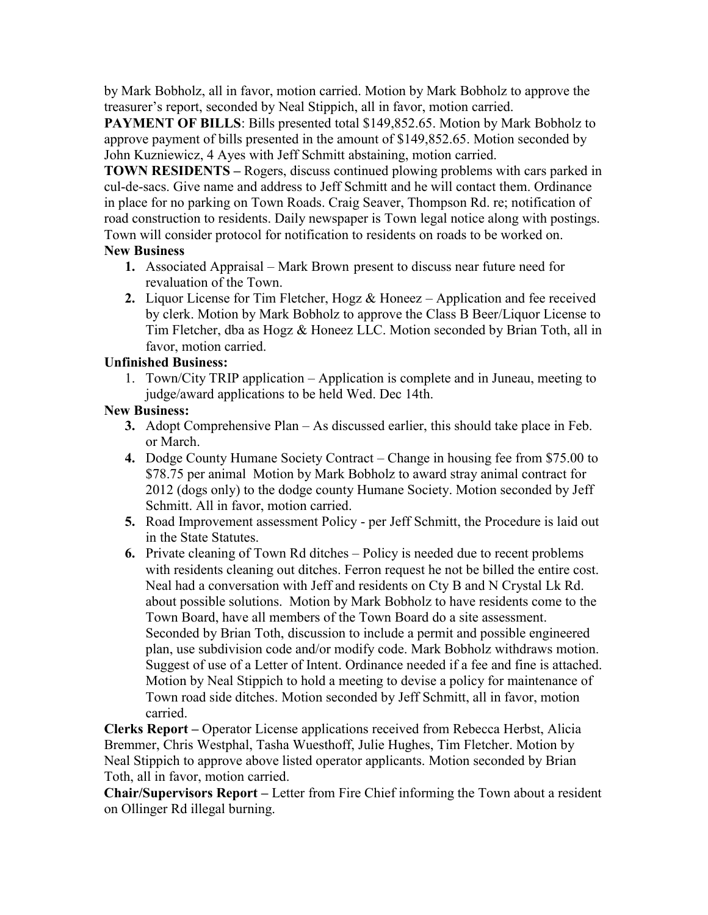by Mark Bobholz, all in favor, motion carried. Motion by Mark Bobholz to approve the treasurer's report, seconded by Neal Stippich, all in favor, motion carried.

**PAYMENT OF BILLS:** Bills presented total \$149,852.65. Motion by Mark Bobholz to approve payment of bills presented in the amount of \$149,852.65. Motion seconded by John Kuzniewicz, 4 Ayes with Jeff Schmitt abstaining, motion carried.

**TOWN RESIDENTS –** Rogers, discuss continued plowing problems with cars parked in cul-de-sacs. Give name and address to Jeff Schmitt and he will contact them. Ordinance in place for no parking on Town Roads. Craig Seaver, Thompson Rd. re; notification of road construction to residents. Daily newspaper is Town legal notice along with postings. Town will consider protocol for notification to residents on roads to be worked on.

#### **New Business**

- **1.** Associated Appraisal Mark Brown present to discuss near future need for revaluation of the Town.
- **2.** Liquor License for Tim Fletcher, Hogz & Honeez Application and fee received by clerk. Motion by Mark Bobholz to approve the Class B Beer/Liquor License to Tim Fletcher, dba as Hogz & Honeez LLC. Motion seconded by Brian Toth, all in favor, motion carried.

#### **Unfinished Business:**

1. Town/City TRIP application – Application is complete and in Juneau, meeting to judge/award applications to be held Wed. Dec 14th.

## **New Business:**

- **3.** Adopt Comprehensive Plan As discussed earlier, this should take place in Feb. or March.
- **4.** Dodge County Humane Society Contract Change in housing fee from \$75.00 to \$78.75 per animal Motion by Mark Bobholz to award stray animal contract for 2012 (dogs only) to the dodge county Humane Society. Motion seconded by Jeff Schmitt. All in favor, motion carried.
- **5.** Road Improvement assessment Policy per Jeff Schmitt, the Procedure is laid out in the State Statutes.
- **6.** Private cleaning of Town Rd ditches Policy is needed due to recent problems with residents cleaning out ditches. Ferron request he not be billed the entire cost. Neal had a conversation with Jeff and residents on Cty B and N Crystal Lk Rd. about possible solutions. Motion by Mark Bobholz to have residents come to the Town Board, have all members of the Town Board do a site assessment. Seconded by Brian Toth, discussion to include a permit and possible engineered plan, use subdivision code and/or modify code. Mark Bobholz withdraws motion. Suggest of use of a Letter of Intent. Ordinance needed if a fee and fine is attached. Motion by Neal Stippich to hold a meeting to devise a policy for maintenance of Town road side ditches. Motion seconded by Jeff Schmitt, all in favor, motion carried.

**Clerks Report –** Operator License applications received from Rebecca Herbst, Alicia Bremmer, Chris Westphal, Tasha Wuesthoff, Julie Hughes, Tim Fletcher. Motion by Neal Stippich to approve above listed operator applicants. Motion seconded by Brian Toth, all in favor, motion carried.

**Chair/Supervisors Report –** Letter from Fire Chief informing the Town about a resident on Ollinger Rd illegal burning.